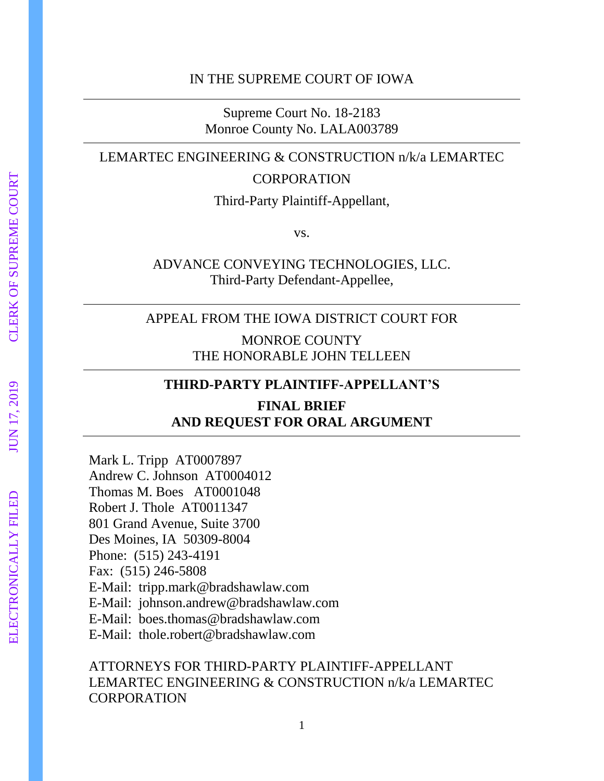#### IN THE SUPREME COURT OF IOWA

Supreme Court No. 18-2183 Monroe County No. LALA003789

### LEMARTEC ENGINEERING & CONSTRUCTION n/k/a LEMARTEC

#### CORPORATION

Third-Party Plaintiff-Appellant,

vs.

ADVANCE CONVEYING TECHNOLOGIES, LLC. Third-Party Defendant-Appellee,

#### APPEAL FROM THE IOWA DISTRICT COURT FOR

MONROE COUNTY THE HONORABLE JOHN TELLEEN

#### **THIRD-PARTY PLAINTIFF-APPELLANT'S**

**FINAL BRIEF AND REQUEST FOR ORAL ARGUMENT**

Mark L. Tripp AT0007897 Andrew C. Johnson AT0004012 Thomas M. Boes AT0001048 Robert J. Thole AT0011347 801 Grand Avenue, Suite 3700 Des Moines, IA 50309-8004 Phone: (515) 243-4191 Fax: (515) 246-5808 E-Mail: tripp.mark@bradshawlaw.com E-Mail: johnson.andrew@bradshawlaw.com E-Mail: boes.thomas@bradshawlaw.com E-Mail: thole.robert@bradshawlaw.com

# ATTORNEYS FOR THIRD-PARTY PLAINTIFF-APPELLANT LEMARTEC ENGINEERING & CONSTRUCTION n/k/a LEMARTEC **CORPORATION**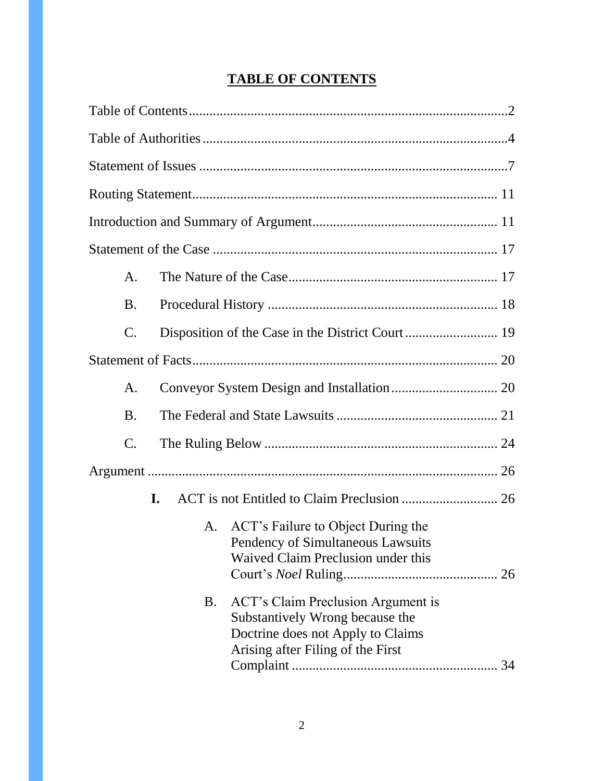# **TABLE OF CONTENTS**

| A.              |                                                                                                                                                       |
|-----------------|-------------------------------------------------------------------------------------------------------------------------------------------------------|
| <b>B.</b>       |                                                                                                                                                       |
| $\mathcal{C}$ . |                                                                                                                                                       |
|                 |                                                                                                                                                       |
| A.              |                                                                                                                                                       |
| <b>B.</b>       |                                                                                                                                                       |
| $\mathcal{C}$ . |                                                                                                                                                       |
|                 |                                                                                                                                                       |
|                 | I.                                                                                                                                                    |
|                 | ACT's Failure to Object During the<br>A.<br>Pendency of Simultaneous Lawsuits<br>Waived Claim Preclusion under this<br>26                             |
|                 | ACT's Claim Preclusion Argument is<br>B.<br>Substantively Wrong because the<br>Doctrine does not Apply to Claims<br>Arising after Filing of the First |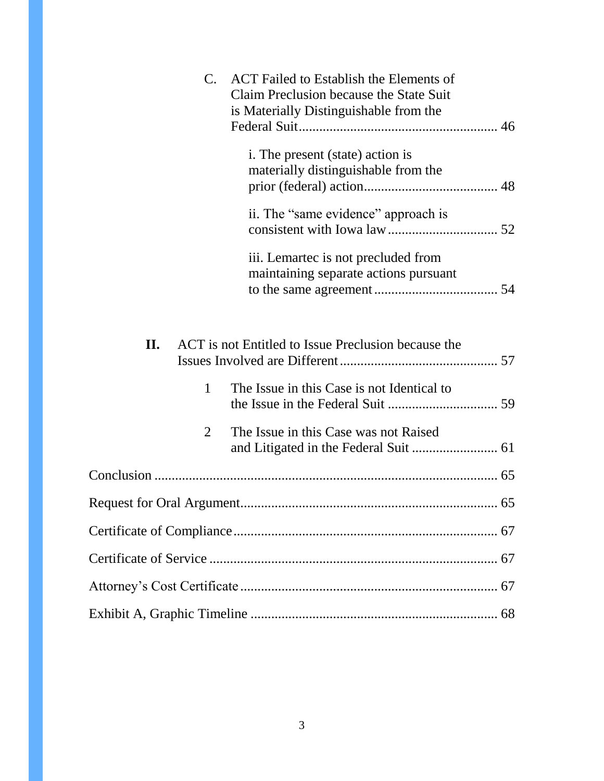|                | <b>ACT</b> Failed to Establish the Elements of<br>C.<br>Claim Preclusion because the State Suit<br>is Materially Distinguishable from the |
|----------------|-------------------------------------------------------------------------------------------------------------------------------------------|
|                | i. The present (state) action is<br>materially distinguishable from the                                                                   |
|                | ii. The "same evidence" approach is                                                                                                       |
|                | iii. Lemartec is not precluded from<br>maintaining separate actions pursuant                                                              |
| П.             | ACT is not Entitled to Issue Preclusion because the                                                                                       |
| $\mathbf{1}$   | The Issue in this Case is not Identical to                                                                                                |
| $\overline{2}$ | The Issue in this Case was not Raised                                                                                                     |
|                |                                                                                                                                           |
|                |                                                                                                                                           |
|                |                                                                                                                                           |
|                |                                                                                                                                           |
|                |                                                                                                                                           |
|                |                                                                                                                                           |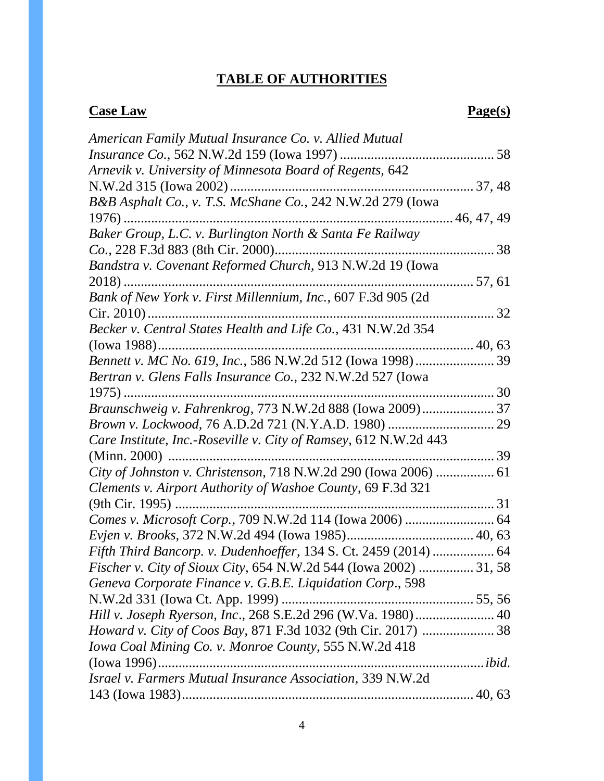# **TABLE OF AUTHORITIES**

# **Case Law Page(s)**

| American Family Mutual Insurance Co. v. Allied Mutual                    |    |
|--------------------------------------------------------------------------|----|
|                                                                          |    |
| Arnevik v. University of Minnesota Board of Regents, 642                 |    |
|                                                                          |    |
| B&B Asphalt Co., v. T.S. McShane Co., 242 N.W.2d 279 (Iowa               |    |
| $1976)$                                                                  |    |
| Baker Group, L.C. v. Burlington North & Santa Fe Railway                 |    |
|                                                                          |    |
| Bandstra v. Covenant Reformed Church, 913 N.W.2d 19 (Iowa                |    |
|                                                                          |    |
| Bank of New York v. First Millennium, Inc., 607 F.3d 905 (2d             |    |
| $Cir. 2010)$                                                             | 32 |
| Becker v. Central States Health and Life Co., 431 N.W.2d 354             |    |
|                                                                          |    |
| Bennett v. MC No. 619, Inc., 586 N.W.2d 512 (Iowa 1998) 39               |    |
| Bertran v. Glens Falls Insurance Co., 232 N.W.2d 527 (Iowa               |    |
|                                                                          |    |
| Braunschweig v. Fahrenkrog, 773 N.W.2d 888 (Iowa 2009) 37                |    |
|                                                                          |    |
| Care Institute, Inc.-Roseville v. City of Ramsey, 612 N.W.2d 443         |    |
| (Minn. 2000)                                                             |    |
| City of Johnston v. Christenson, 718 N.W.2d 290 (Iowa 2006)  61          |    |
| Clements v. Airport Authority of Washoe County, 69 F.3d 321              |    |
| $(9th Cir. 1995)$                                                        |    |
| Comes v. Microsoft Corp., 709 N.W.2d 114 (Iowa 2006)  64                 |    |
|                                                                          |    |
| Fifth Third Bancorp. v. Dudenhoeffer, 134 S. Ct. 2459 (2014)  64         |    |
| <i>Fischer v. City of Sioux City, 654 N.W.2d 544 (Iowa 2002) </i> 31, 58 |    |
| Geneva Corporate Finance v. G.B.E. Liquidation Corp., 598                |    |
| N.W.2d 331 (Iowa Ct. App. 1999)                                          |    |
| Hill v. Joseph Ryerson, Inc., 268 S.E.2d 296 (W.Va. 1980) 40             |    |
| <i>Howard v. City of Coos Bay, 871 F.3d 1032 (9th Cir. 2017) </i> 38     |    |
| Iowa Coal Mining Co. v. Monroe County, 555 N.W.2d 418                    |    |
| (Iowa 1996)                                                              |    |
| Israel v. Farmers Mutual Insurance Association, 339 N.W.2d               |    |
|                                                                          |    |
|                                                                          |    |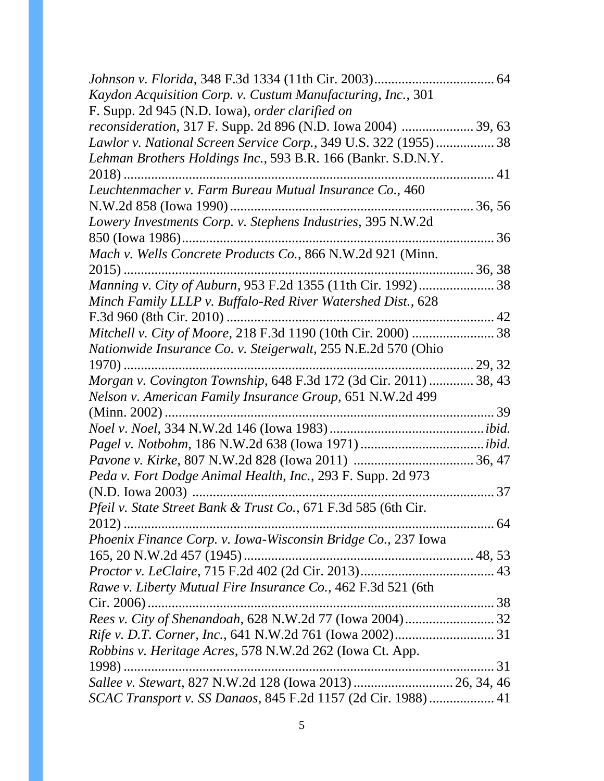| Kaydon Acquisition Corp. v. Custum Manufacturing, Inc., 301       |       |
|-------------------------------------------------------------------|-------|
| F. Supp. 2d 945 (N.D. Iowa), order clarified on                   |       |
| reconsideration, 317 F. Supp. 2d 896 (N.D. Iowa 2004)  39, 63     |       |
| Lawlor v. National Screen Service Corp., 349 U.S. 322 (1955) 38   |       |
| Lehman Brothers Holdings Inc., 593 B.R. 166 (Bankr. S.D.N.Y.      |       |
| $2018)$                                                           | 41    |
| Leuchtenmacher v. Farm Bureau Mutual Insurance Co., 460           |       |
|                                                                   | 36,56 |
| Lowery Investments Corp. v. Stephens Industries, 395 N.W.2d       |       |
|                                                                   |       |
| Mach v. Wells Concrete Products Co., 866 N.W.2d 921 (Minn.        |       |
| 36,38<br>$2015$ .                                                 |       |
| Manning v. City of Auburn, 953 F.2d 1355 (11th Cir. 1992) 38      |       |
| Minch Family LLLP v. Buffalo-Red River Watershed Dist., 628       |       |
| F.3d 960 (8th Cir. 2010)                                          |       |
| Mitchell v. City of Moore, 218 F.3d 1190 (10th Cir. 2000)  38     |       |
| Nationwide Insurance Co. v. Steigerwalt, 255 N.E.2d 570 (Ohio     |       |
|                                                                   |       |
| Morgan v. Covington Township, 648 F.3d 172 (3d Cir. 2011)  38, 43 |       |
| Nelson v. American Family Insurance Group, 651 N.W.2d 499         |       |
| (Minn. 2002)                                                      |       |
|                                                                   |       |
|                                                                   |       |
|                                                                   |       |
| Peda v. Fort Dodge Animal Health, Inc., 293 F. Supp. 2d 973       |       |
|                                                                   | 37    |
| Pfeil v. State Street Bank & Trust Co., 671 F.3d 585 (6th Cir.    |       |
|                                                                   |       |
| Phoenix Finance Corp. v. Iowa-Wisconsin Bridge Co., 237 Iowa      |       |
| 165, 20 N.W.2d 457 (1945)                                         |       |
|                                                                   |       |
| Rawe v. Liberty Mutual Fire Insurance Co., 462 F.3d 521 (6th      |       |
|                                                                   |       |
|                                                                   |       |
| <i>Rife v. D.T. Corner, Inc., 641 N.W.2d 761 (Iowa 2002)</i> 31   |       |
| Robbins v. Heritage Acres, 578 N.W.2d 262 (Iowa Ct. App.          |       |
|                                                                   |       |
| Sallee v. Stewart, 827 N.W.2d 128 (Iowa 2013)  26, 34, 46         |       |
| SCAC Transport v. SS Danaos, 845 F.2d 1157 (2d Cir. 1988)  41     |       |
|                                                                   |       |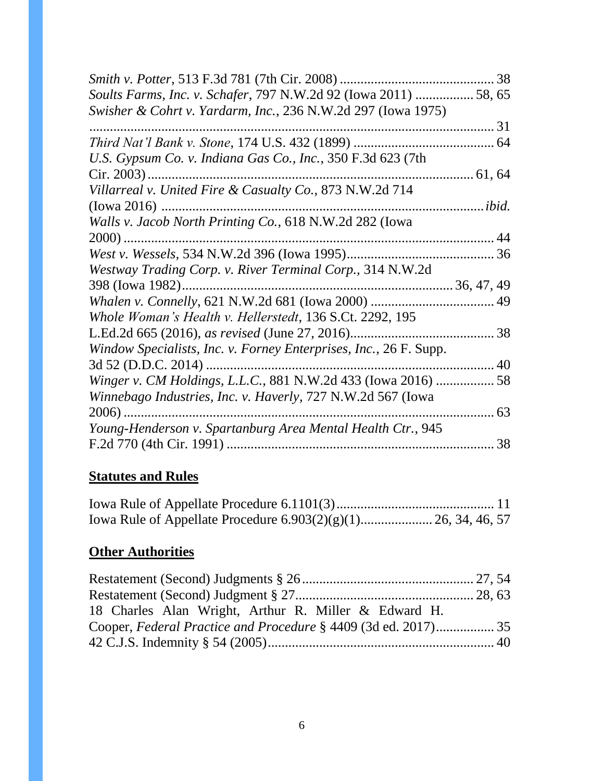| Soults Farms, Inc. v. Schafer, 797 N.W.2d 92 (Iowa 2011)  58, 65  |              |
|-------------------------------------------------------------------|--------------|
| Swisher & Cohrt v. Yardarm, Inc., 236 N.W.2d 297 (Iowa 1975)      |              |
|                                                                   |              |
|                                                                   |              |
| U.S. Gypsum Co. v. Indiana Gas Co., Inc., 350 F.3d 623 (7th       |              |
|                                                                   |              |
| Villarreal v. United Fire & Casualty Co., 873 N.W.2d 714          |              |
| $(10wa 2016)$                                                     | <i>ibid.</i> |
| Walls v. Jacob North Printing Co., 618 N.W.2d 282 (Iowa           |              |
| $2000)$                                                           | 44           |
|                                                                   |              |
| Westway Trading Corp. v. River Terminal Corp., 314 N.W.2d         |              |
|                                                                   |              |
|                                                                   |              |
| Whole Woman's Health v. Hellerstedt, 136 S.Ct. 2292, 195          |              |
|                                                                   |              |
| Window Specialists, Inc. v. Forney Enterprises, Inc., 26 F. Supp. |              |
| 3d 52 (D.D.C. 2014)                                               | 40           |
| Winger v. CM Holdings, L.L.C., 881 N.W.2d 433 (Iowa 2016)  58     |              |
| Winnebago Industries, Inc. v. Haverly, 727 N.W.2d 567 (Iowa       |              |
|                                                                   | 63           |
| Young-Henderson v. Spartanburg Area Mental Health Ctr., 945       |              |
|                                                                   | 38           |
|                                                                   |              |

# **Statutes and Rules**

# **Other Authorities**

| 18 Charles Alan Wright, Arthur R. Miller & Edward H. |  |
|------------------------------------------------------|--|
|                                                      |  |
|                                                      |  |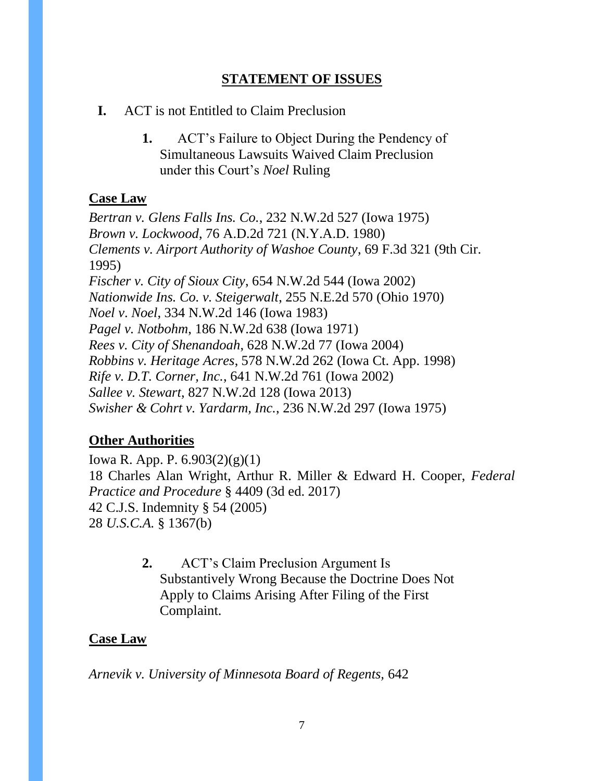# **STATEMENT OF ISSUES**

- **I.** ACT is not Entitled to Claim Preclusion
	- **1.** ACT's Failure to Object During the Pendency of Simultaneous Lawsuits Waived Claim Preclusion under this Court's *Noel* Ruling

# **Case Law**

*Bertran v. Glens Falls Ins. Co.*, 232 N.W.2d 527 (Iowa 1975) *Brown v. Lockwood*, 76 A.D.2d 721 (N.Y.A.D. 1980) *Clements v. Airport Authority of Washoe County*, 69 F.3d 321 (9th Cir. 1995) *Fischer v. City of Sioux City*, 654 N.W.2d 544 (Iowa 2002) *Nationwide Ins. Co. v. Steigerwalt*, 255 N.E.2d 570 (Ohio 1970) *Noel v*. *Noel*, 334 N.W.2d 146 (Iowa 1983) *Pagel v. Notbohm*, 186 N.W.2d 638 (Iowa 1971) *Rees v. City of Shenandoah*, 628 N.W.2d 77 (Iowa 2004) *Robbins v. Heritage Acres*, 578 N.W.2d 262 (Iowa Ct. App. 1998) *Rife v. D.T. Corner, Inc.*, 641 N.W.2d 761 (Iowa 2002) *Sallee v. Stewart*, 827 N.W.2d 128 (Iowa 2013) *Swisher & Cohrt v. Yardarm, Inc.*, 236 N.W.2d 297 (Iowa 1975)

# **Other Authorities**

Iowa R. App. P. 6.903(2)(g)(1) 18 Charles Alan Wright, Arthur R. Miller & Edward H. Cooper, *Federal Practice and Procedure* § 4409 (3d ed. 2017) 42 C.J.S. Indemnity § 54 (2005) 28 *U.S.C.A.* § 1367(b)

> **2.** ACT's Claim Preclusion Argument Is Substantively Wrong Because the Doctrine Does Not Apply to Claims Arising After Filing of the First Complaint.

# **Case Law**

*Arnevik v. University of Minnesota Board of Regents,* 642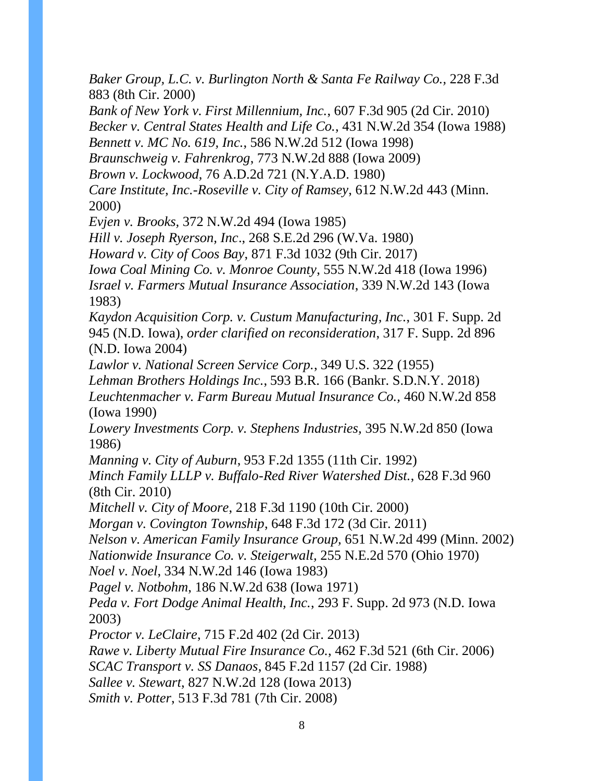*Baker Group, L.C. v. Burlington North & Santa Fe Railway Co.,* 228 F.3d 883 (8th Cir. 2000)

*Bank of New York v. First Millennium, Inc.*, 607 F.3d 905 (2d Cir. 2010) *Becker v. Central States Health and Life Co.*, 431 N.W.2d 354 (Iowa 1988)

*Bennett v. MC No. 619, Inc.*, 586 N.W.2d 512 (Iowa 1998)

*Braunschweig v. Fahrenkrog*, 773 N.W.2d 888 (Iowa 2009)

*Brown v. Lockwood,* 76 A.D.2d 721 (N.Y.A.D. 1980)

*Care Institute, Inc.-Roseville v. City of Ramsey*, 612 N.W.2d 443 (Minn. 2000)

*Evjen v. Brooks,* 372 N.W.2d 494 (Iowa 1985)

*Hill v. Joseph Ryerson, Inc*., 268 S.E.2d 296 (W.Va. 1980)

*Howard v. City of Coos Bay*, 871 F.3d 1032 (9th Cir. 2017)

*Iowa Coal Mining Co. v. Monroe County*, 555 N.W.2d 418 (Iowa 1996) *Israel v. Farmers Mutual Insurance Association*, 339 N.W.2d 143 (Iowa 1983)

*Kaydon Acquisition Corp. v. Custum Manufacturing, Inc.*, 301 F. Supp. 2d 945 (N.D. Iowa), *order clarified on reconsideration*, 317 F. Supp. 2d 896 (N.D. Iowa 2004)

*Lawlor v. National Screen Service Corp.*, 349 U.S. 322 (1955)

*Lehman Brothers Holdings Inc.*, 593 B.R. 166 (Bankr. S.D.N.Y. 2018) *Leuchtenmacher v. Farm Bureau Mutual Insurance Co.,* 460 N.W.2d 858 (Iowa 1990)

*Lowery Investments Corp. v. Stephens Industries,* 395 N.W.2d 850 (Iowa 1986)

*Manning v. City of Auburn*, 953 F.2d 1355 (11th Cir. 1992)

*Minch Family LLLP v. Buffalo-Red River Watershed Dist.*, 628 F.3d 960 (8th Cir. 2010)

*Mitchell v. City of Moore*, 218 F.3d 1190 (10th Cir. 2000)

*Morgan v. Covington Township*, 648 F.3d 172 (3d Cir. 2011)

*Nelson v. American Family Insurance Group,* 651 N.W.2d 499 (Minn. 2002) *Nationwide Insurance Co. v. Steigerwalt,* 255 N.E.2d 570 (Ohio 1970) *Noel v*. *Noel*, 334 N.W.2d 146 (Iowa 1983)

*Pagel v. Notbohm*, 186 N.W.2d 638 (Iowa 1971)

*Peda v. Fort Dodge Animal Health, Inc.*, 293 F. Supp. 2d 973 (N.D. Iowa 2003)

*Proctor v. LeClaire*, 715 F.2d 402 (2d Cir. 2013)

*Rawe v. Liberty Mutual Fire Insurance Co.*, 462 F.3d 521 (6th Cir. 2006)

*SCAC Transport v. SS Danaos*, 845 F.2d 1157 (2d Cir. 1988)

*Sallee v. Stewart*, 827 N.W.2d 128 (Iowa 2013)

*Smith v. Potter*, 513 F.3d 781 (7th Cir. 2008)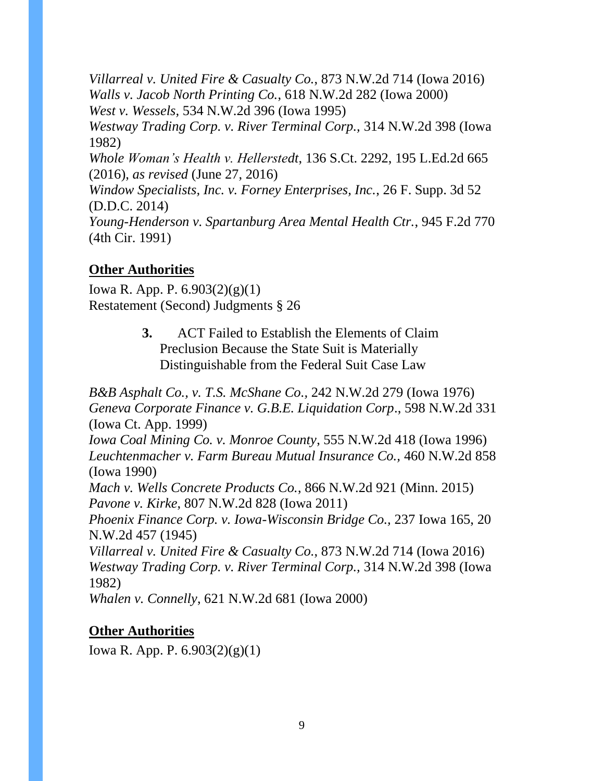*Villarreal v. United Fire & Casualty Co.*, 873 N.W.2d 714 (Iowa 2016) *Walls v. Jacob North Printing Co.*, 618 N.W.2d 282 (Iowa 2000) *West v. Wessels,* 534 N.W.2d 396 (Iowa 1995) *Westway Trading Corp. v. River Terminal Corp.,* 314 N.W.2d 398 (Iowa 1982) *Whole Woman's Health v. Hellerstedt*, 136 S.Ct. 2292, 195 L.Ed.2d 665 (2016), *as revised* (June 27, 2016) *Window Specialists, Inc. v. Forney Enterprises, Inc.*, 26 F. Supp. 3d 52 (D.D.C. 2014) *Young-Henderson v. Spartanburg Area Mental Health Ctr.*, 945 F.2d 770 (4th Cir. 1991)

# **Other Authorities**

Iowa R. App. P. 6.903(2)(g)(1) Restatement (Second) Judgments § 26

> **3.** ACT Failed to Establish the Elements of Claim Preclusion Because the State Suit is Materially Distinguishable from the Federal Suit Case Law

*B&B Asphalt Co., v. T.S. McShane Co.,* 242 N.W.2d 279 (Iowa 1976) *Geneva Corporate Finance v. G.B.E. Liquidation Corp*., 598 N.W.2d 331 (Iowa Ct. App. 1999)

*Iowa Coal Mining Co. v. Monroe County*, 555 N.W.2d 418 (Iowa 1996) *Leuchtenmacher v. Farm Bureau Mutual Insurance Co.,* 460 N.W.2d 858 (Iowa 1990)

*Mach v. Wells Concrete Products Co.*, 866 N.W.2d 921 (Minn. 2015) *Pavone v. Kirke*, 807 N.W.2d 828 (Iowa 2011)

*Phoenix Finance Corp. v. Iowa-Wisconsin Bridge Co.,* 237 Iowa 165, 20 N.W.2d 457 (1945)

*Villarreal v. United Fire & Casualty Co.*, 873 N.W.2d 714 (Iowa 2016) *Westway Trading Corp. v. River Terminal Corp.,* 314 N.W.2d 398 (Iowa 1982)

*Whalen v. Connelly*, 621 N.W.2d 681 (Iowa 2000)

# **Other Authorities**

Iowa R. App. P. 6.903(2)(g)(1)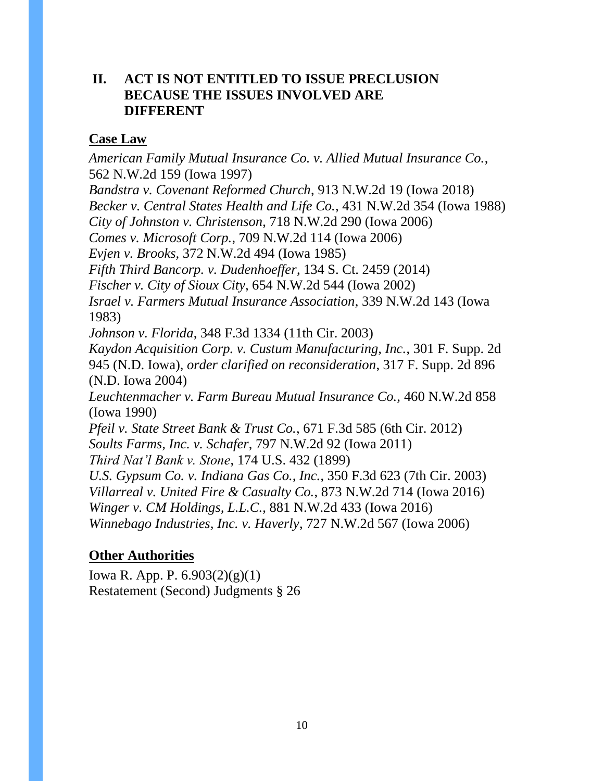# **II. ACT IS NOT ENTITLED TO ISSUE PRECLUSION BECAUSE THE ISSUES INVOLVED ARE DIFFERENT**

## **Case Law**

*American Family Mutual Insurance Co. v. Allied Mutual Insurance Co.*, 562 N.W.2d 159 (Iowa 1997) *Bandstra v. Covenant Reformed Church*, 913 N.W.2d 19 (Iowa 2018) *Becker v. Central States Health and Life Co.*, 431 N.W.2d 354 (Iowa 1988) *City of Johnston v. Christenson*, 718 N.W.2d 290 (Iowa 2006) *Comes v. Microsoft Corp.*, 709 N.W.2d 114 (Iowa 2006) *Evjen v. Brooks,* 372 N.W.2d 494 (Iowa 1985) *Fifth Third Bancorp. v. Dudenhoeffer*, 134 S. Ct. 2459 (2014) *Fischer v. City of Sioux City*, 654 N.W.2d 544 (Iowa 2002) *Israel v. Farmers Mutual Insurance Association*, 339 N.W.2d 143 (Iowa 1983) *Johnson v. Florida*, 348 F.3d 1334 (11th Cir. 2003) *Kaydon Acquisition Corp. v. Custum Manufacturing, Inc.*, 301 F. Supp. 2d 945 (N.D. Iowa), *order clarified on reconsideration*, 317 F. Supp. 2d 896 (N.D. Iowa 2004) *Leuchtenmacher v. Farm Bureau Mutual Insurance Co.,* 460 N.W.2d 858 (Iowa 1990) *Pfeil v. State Street Bank & Trust Co.*, 671 F.3d 585 (6th Cir. 2012) *Soults Farms, Inc. v. Schafer*, 797 N.W.2d 92 (Iowa 2011) *Third Nat'l Bank v. Stone*, 174 U.S. 432 (1899) *U.S. Gypsum Co. v. Indiana Gas Co., Inc.*, 350 F.3d 623 (7th Cir. 2003) *Villarreal v. United Fire & Casualty Co.*, 873 N.W.2d 714 (Iowa 2016) *Winger v. CM Holdings, L.L.C.*, 881 N.W.2d 433 (Iowa 2016) *Winnebago Industries, Inc. v. Haverly*, 727 N.W.2d 567 (Iowa 2006)

# **Other Authorities**

Iowa R. App. P. 6.903(2)(g)(1) Restatement (Second) Judgments § 26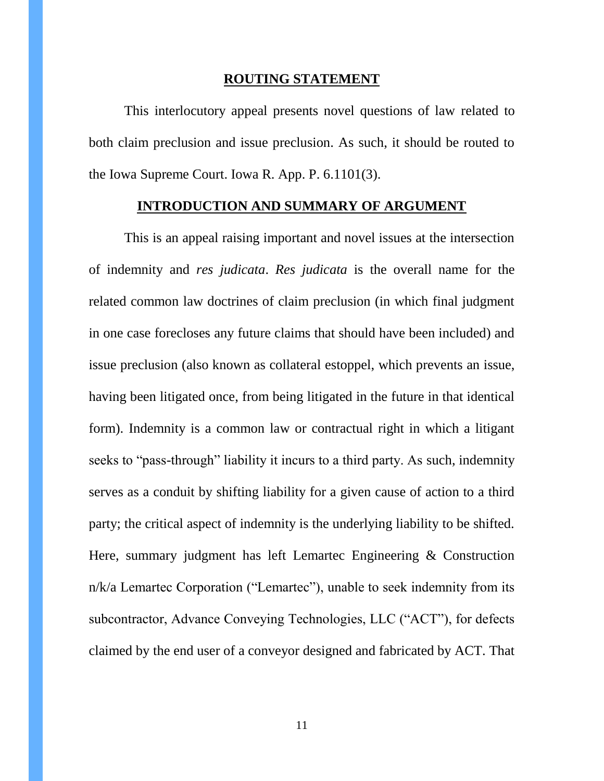#### **ROUTING STATEMENT**

This interlocutory appeal presents novel questions of law related to both claim preclusion and issue preclusion. As such, it should be routed to the Iowa Supreme Court. Iowa R. App. P. 6.1101(3).

#### **INTRODUCTION AND SUMMARY OF ARGUMENT**

This is an appeal raising important and novel issues at the intersection of indemnity and *res judicata*. *Res judicata* is the overall name for the related common law doctrines of claim preclusion (in which final judgment in one case forecloses any future claims that should have been included) and issue preclusion (also known as collateral estoppel, which prevents an issue, having been litigated once, from being litigated in the future in that identical form). Indemnity is a common law or contractual right in which a litigant seeks to "pass-through" liability it incurs to a third party. As such, indemnity serves as a conduit by shifting liability for a given cause of action to a third party; the critical aspect of indemnity is the underlying liability to be shifted. Here, summary judgment has left Lemartec Engineering & Construction n/k/a Lemartec Corporation ("Lemartec"), unable to seek indemnity from its subcontractor, Advance Conveying Technologies, LLC ("ACT"), for defects claimed by the end user of a conveyor designed and fabricated by ACT. That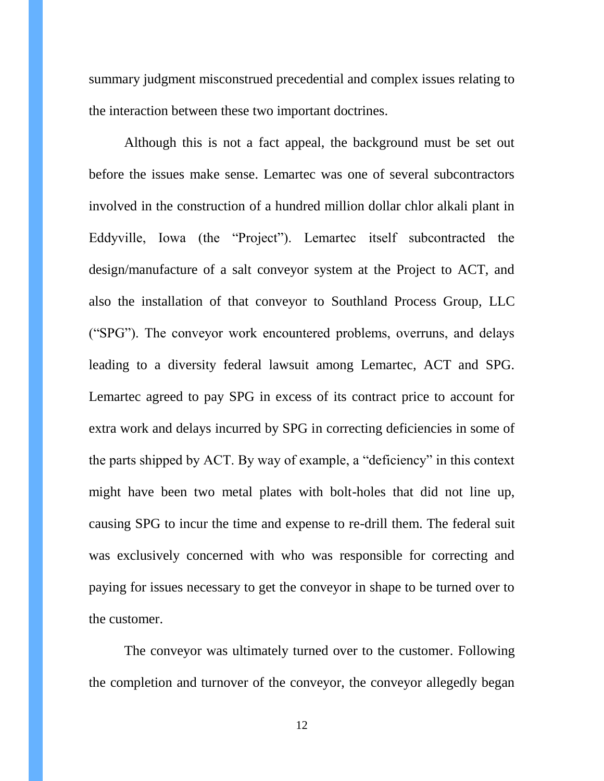summary judgment misconstrued precedential and complex issues relating to the interaction between these two important doctrines.

Although this is not a fact appeal, the background must be set out before the issues make sense. Lemartec was one of several subcontractors involved in the construction of a hundred million dollar chlor alkali plant in Eddyville, Iowa (the "Project"). Lemartec itself subcontracted the design/manufacture of a salt conveyor system at the Project to ACT, and also the installation of that conveyor to Southland Process Group, LLC ("SPG"). The conveyor work encountered problems, overruns, and delays leading to a diversity federal lawsuit among Lemartec, ACT and SPG. Lemartec agreed to pay SPG in excess of its contract price to account for extra work and delays incurred by SPG in correcting deficiencies in some of the parts shipped by ACT. By way of example, a "deficiency" in this context might have been two metal plates with bolt-holes that did not line up, causing SPG to incur the time and expense to re-drill them. The federal suit was exclusively concerned with who was responsible for correcting and paying for issues necessary to get the conveyor in shape to be turned over to the customer.

The conveyor was ultimately turned over to the customer. Following the completion and turnover of the conveyor, the conveyor allegedly began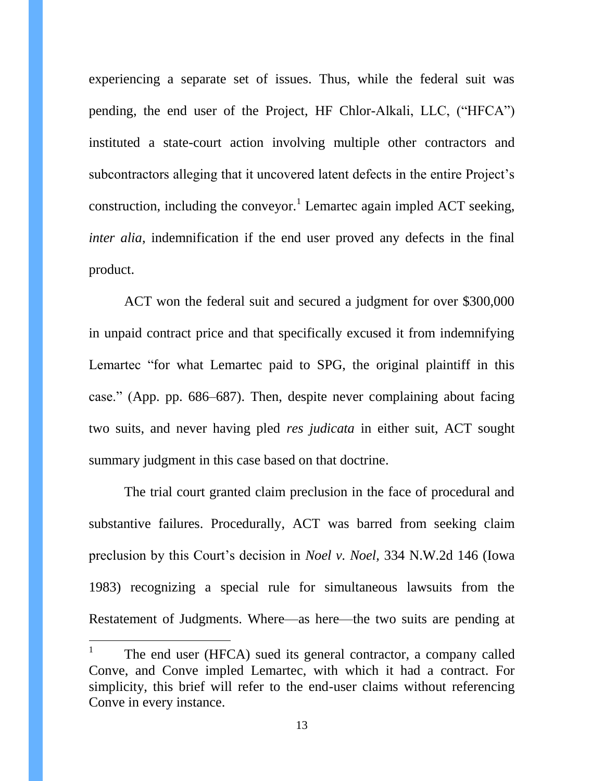experiencing a separate set of issues. Thus, while the federal suit was pending, the end user of the Project, HF Chlor-Alkali, LLC, ("HFCA") instituted a state-court action involving multiple other contractors and subcontractors alleging that it uncovered latent defects in the entire Project's construction, including the conveyor.<sup>1</sup> Lemartec again impled ACT seeking, *inter alia*, indemnification if the end user proved any defects in the final product.

ACT won the federal suit and secured a judgment for over \$300,000 in unpaid contract price and that specifically excused it from indemnifying Lemartec "for what Lemartec paid to SPG, the original plaintiff in this case." (App. pp. 686–687). Then, despite never complaining about facing two suits, and never having pled *res judicata* in either suit, ACT sought summary judgment in this case based on that doctrine.

The trial court granted claim preclusion in the face of procedural and substantive failures. Procedurally, ACT was barred from seeking claim preclusion by this Court's decision in *Noel v. Noel,* 334 N.W.2d 146 (Iowa 1983) recognizing a special rule for simultaneous lawsuits from the Restatement of Judgments. Where—as here—the two suits are pending at

<sup>1</sup> The end user (HFCA) sued its general contractor, a company called Conve, and Conve impled Lemartec, with which it had a contract. For simplicity, this brief will refer to the end-user claims without referencing Conve in every instance.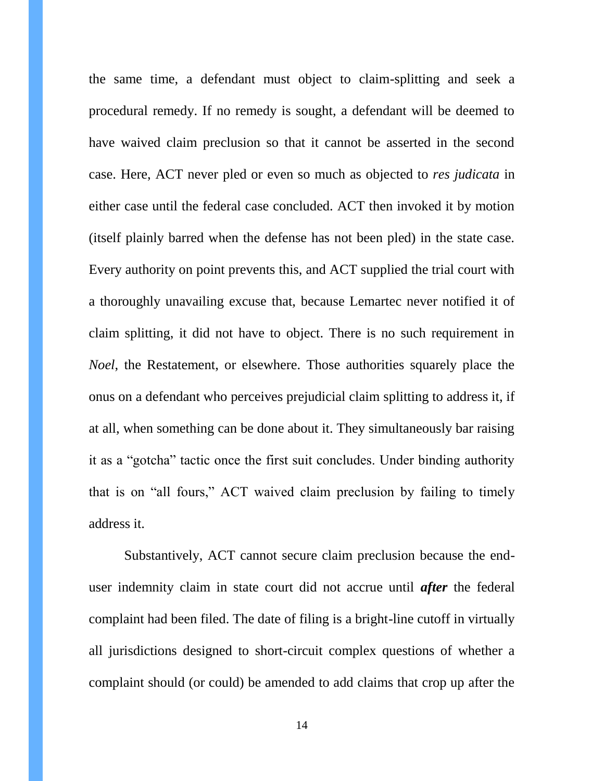the same time, a defendant must object to claim-splitting and seek a procedural remedy. If no remedy is sought, a defendant will be deemed to have waived claim preclusion so that it cannot be asserted in the second case. Here, ACT never pled or even so much as objected to *res judicata* in either case until the federal case concluded. ACT then invoked it by motion (itself plainly barred when the defense has not been pled) in the state case. Every authority on point prevents this, and ACT supplied the trial court with a thoroughly unavailing excuse that, because Lemartec never notified it of claim splitting, it did not have to object. There is no such requirement in *Noel*, the Restatement, or elsewhere. Those authorities squarely place the onus on a defendant who perceives prejudicial claim splitting to address it, if at all, when something can be done about it. They simultaneously bar raising it as a "gotcha" tactic once the first suit concludes. Under binding authority that is on "all fours," ACT waived claim preclusion by failing to timely address it.

Substantively, ACT cannot secure claim preclusion because the enduser indemnity claim in state court did not accrue until *after* the federal complaint had been filed. The date of filing is a bright-line cutoff in virtually all jurisdictions designed to short-circuit complex questions of whether a complaint should (or could) be amended to add claims that crop up after the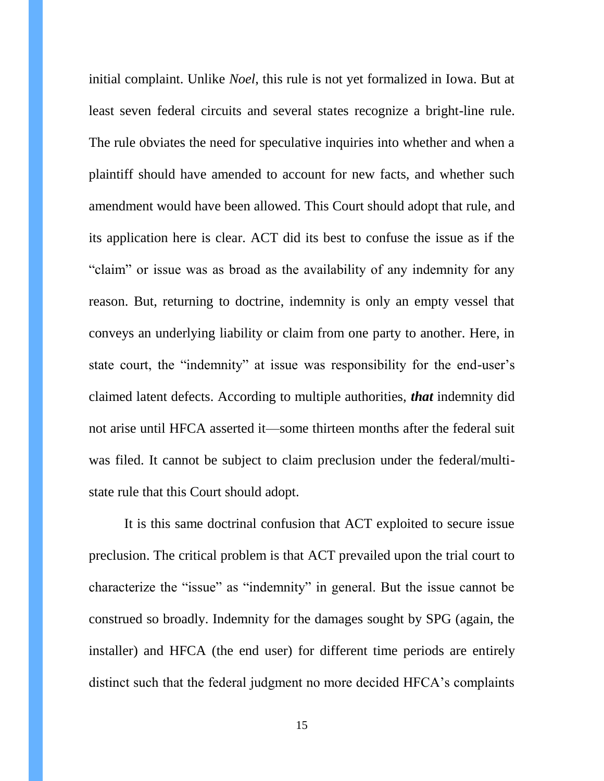initial complaint. Unlike *Noel*, this rule is not yet formalized in Iowa. But at least seven federal circuits and several states recognize a bright-line rule. The rule obviates the need for speculative inquiries into whether and when a plaintiff should have amended to account for new facts, and whether such amendment would have been allowed. This Court should adopt that rule, and its application here is clear. ACT did its best to confuse the issue as if the "claim" or issue was as broad as the availability of any indemnity for any reason. But, returning to doctrine, indemnity is only an empty vessel that conveys an underlying liability or claim from one party to another. Here, in state court, the "indemnity" at issue was responsibility for the end-user's claimed latent defects. According to multiple authorities, *that* indemnity did not arise until HFCA asserted it—some thirteen months after the federal suit was filed. It cannot be subject to claim preclusion under the federal/multistate rule that this Court should adopt.

It is this same doctrinal confusion that ACT exploited to secure issue preclusion. The critical problem is that ACT prevailed upon the trial court to characterize the "issue" as "indemnity" in general. But the issue cannot be construed so broadly. Indemnity for the damages sought by SPG (again, the installer) and HFCA (the end user) for different time periods are entirely distinct such that the federal judgment no more decided HFCA's complaints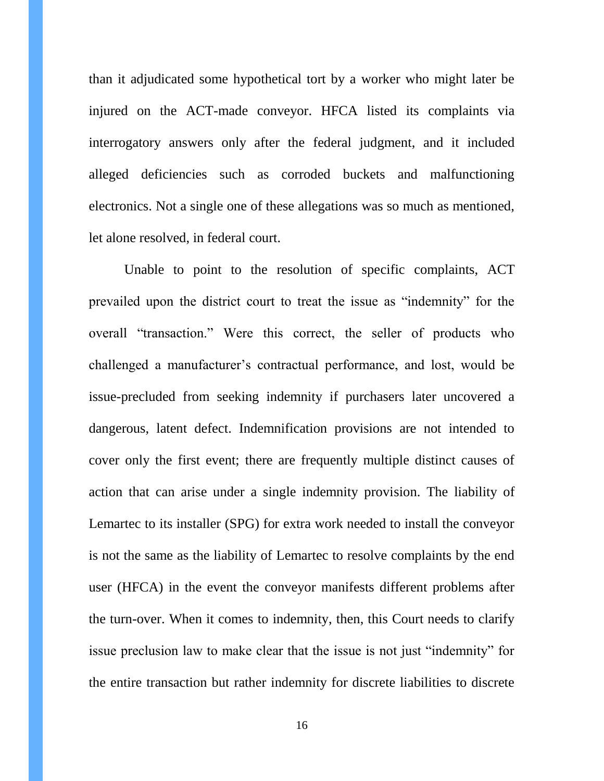than it adjudicated some hypothetical tort by a worker who might later be injured on the ACT-made conveyor. HFCA listed its complaints via interrogatory answers only after the federal judgment, and it included alleged deficiencies such as corroded buckets and malfunctioning electronics. Not a single one of these allegations was so much as mentioned, let alone resolved, in federal court.

Unable to point to the resolution of specific complaints, ACT prevailed upon the district court to treat the issue as "indemnity" for the overall "transaction." Were this correct, the seller of products who challenged a manufacturer's contractual performance, and lost, would be issue-precluded from seeking indemnity if purchasers later uncovered a dangerous, latent defect. Indemnification provisions are not intended to cover only the first event; there are frequently multiple distinct causes of action that can arise under a single indemnity provision. The liability of Lemartec to its installer (SPG) for extra work needed to install the conveyor is not the same as the liability of Lemartec to resolve complaints by the end user (HFCA) in the event the conveyor manifests different problems after the turn-over. When it comes to indemnity, then, this Court needs to clarify issue preclusion law to make clear that the issue is not just "indemnity" for the entire transaction but rather indemnity for discrete liabilities to discrete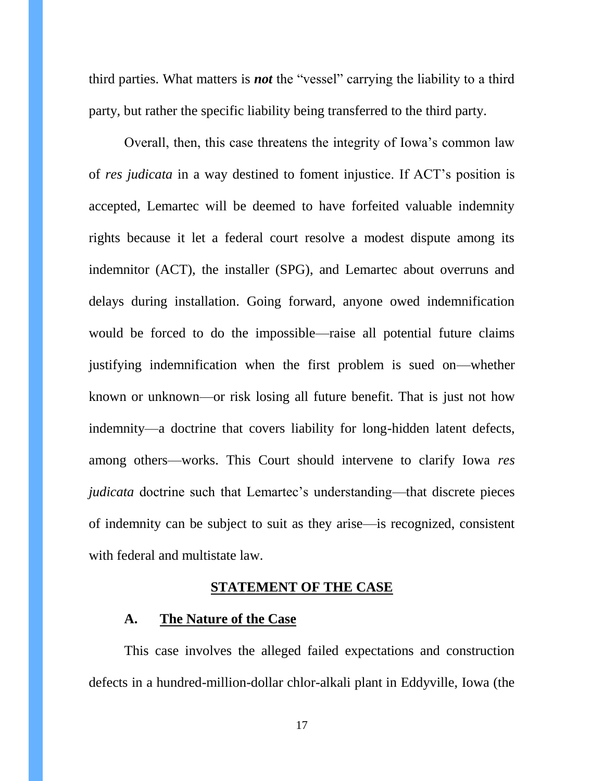third parties. What matters is *not* the "vessel" carrying the liability to a third party, but rather the specific liability being transferred to the third party.

Overall, then, this case threatens the integrity of Iowa's common law of *res judicata* in a way destined to foment injustice. If ACT's position is accepted, Lemartec will be deemed to have forfeited valuable indemnity rights because it let a federal court resolve a modest dispute among its indemnitor (ACT), the installer (SPG), and Lemartec about overruns and delays during installation. Going forward, anyone owed indemnification would be forced to do the impossible—raise all potential future claims justifying indemnification when the first problem is sued on—whether known or unknown—or risk losing all future benefit. That is just not how indemnity—a doctrine that covers liability for long-hidden latent defects, among others—works. This Court should intervene to clarify Iowa *res judicata* doctrine such that Lemartec's understanding—that discrete pieces of indemnity can be subject to suit as they arise—is recognized, consistent with federal and multistate law.

#### **STATEMENT OF THE CASE**

#### **A. The Nature of the Case**

This case involves the alleged failed expectations and construction defects in a hundred-million-dollar chlor-alkali plant in Eddyville, Iowa (the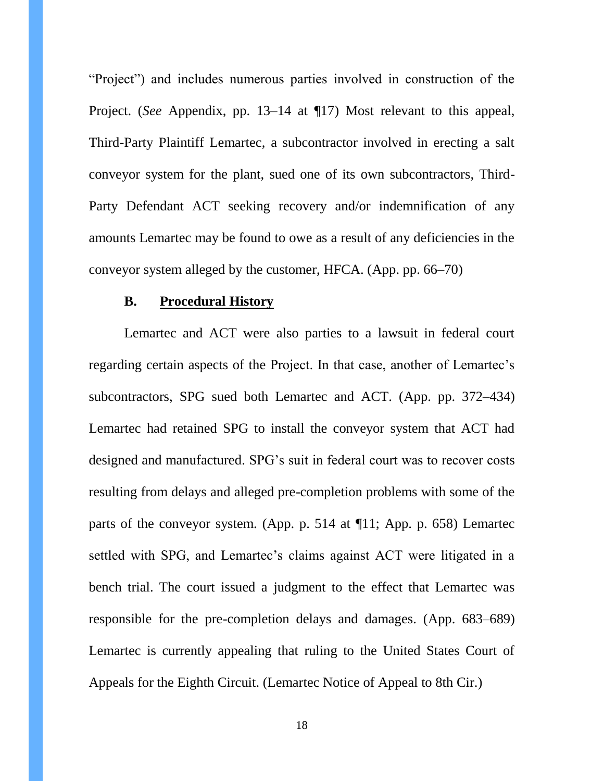"Project") and includes numerous parties involved in construction of the Project. (*See* Appendix, pp. 13–14 at ¶17) Most relevant to this appeal, Third-Party Plaintiff Lemartec, a subcontractor involved in erecting a salt conveyor system for the plant, sued one of its own subcontractors, Third-Party Defendant ACT seeking recovery and/or indemnification of any amounts Lemartec may be found to owe as a result of any deficiencies in the conveyor system alleged by the customer, HFCA. (App. pp. 66–70)

#### **B. Procedural History**

Lemartec and ACT were also parties to a lawsuit in federal court regarding certain aspects of the Project. In that case, another of Lemartec's subcontractors, SPG sued both Lemartec and ACT. (App. pp. 372–434) Lemartec had retained SPG to install the conveyor system that ACT had designed and manufactured. SPG's suit in federal court was to recover costs resulting from delays and alleged pre-completion problems with some of the parts of the conveyor system. (App. p. 514 at ¶11; App. p. 658) Lemartec settled with SPG, and Lemartec's claims against ACT were litigated in a bench trial. The court issued a judgment to the effect that Lemartec was responsible for the pre-completion delays and damages. (App. 683–689) Lemartec is currently appealing that ruling to the United States Court of Appeals for the Eighth Circuit. (Lemartec Notice of Appeal to 8th Cir.)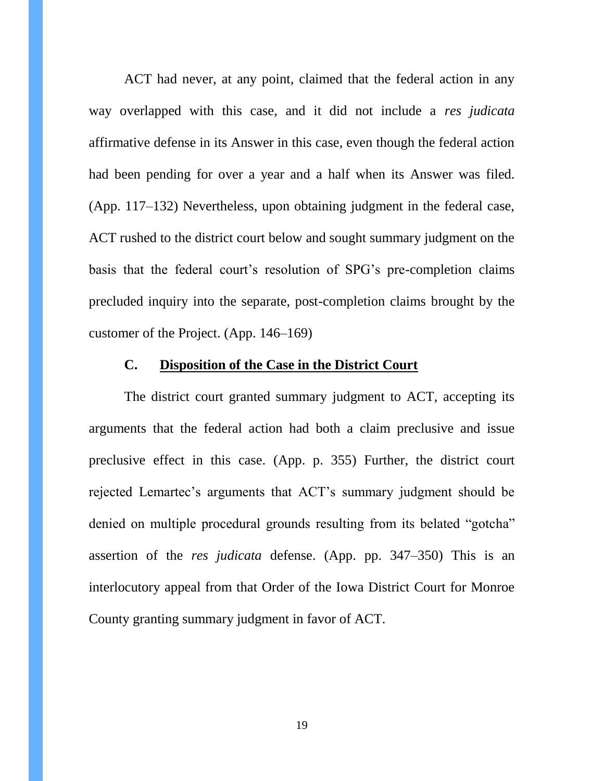ACT had never, at any point, claimed that the federal action in any way overlapped with this case, and it did not include a *res judicata* affirmative defense in its Answer in this case, even though the federal action had been pending for over a year and a half when its Answer was filed. (App. 117–132) Nevertheless, upon obtaining judgment in the federal case, ACT rushed to the district court below and sought summary judgment on the basis that the federal court's resolution of SPG's pre-completion claims precluded inquiry into the separate, post-completion claims brought by the customer of the Project. (App. 146–169)

### **C. Disposition of the Case in the District Court**

The district court granted summary judgment to ACT, accepting its arguments that the federal action had both a claim preclusive and issue preclusive effect in this case. (App. p. 355) Further, the district court rejected Lemartec's arguments that ACT's summary judgment should be denied on multiple procedural grounds resulting from its belated "gotcha" assertion of the *res judicata* defense. (App. pp. 347–350) This is an interlocutory appeal from that Order of the Iowa District Court for Monroe County granting summary judgment in favor of ACT.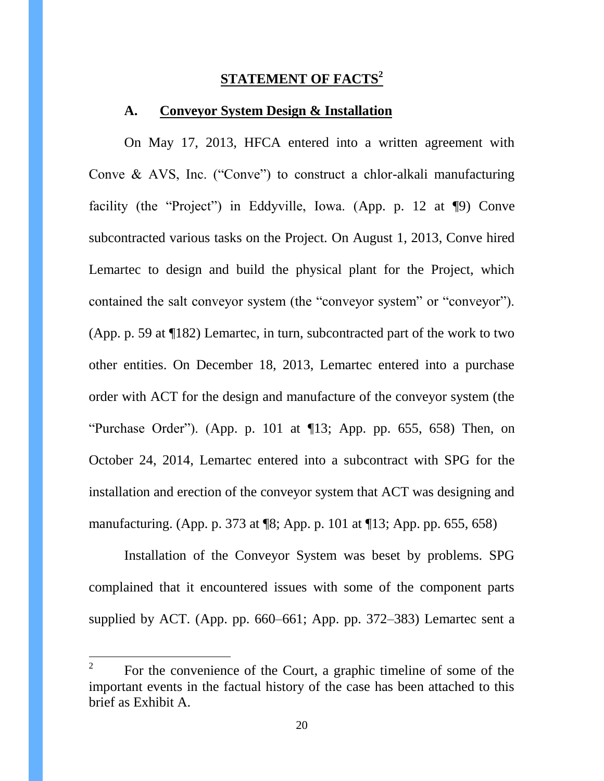### **STATEMENT OF FACTS<sup>2</sup>**

### **A. Conveyor System Design & Installation**

On May 17, 2013, HFCA entered into a written agreement with Conve & AVS, Inc. ("Conve") to construct a chlor-alkali manufacturing facility (the "Project") in Eddyville, Iowa. (App. p. 12 at ¶9) Conve subcontracted various tasks on the Project. On August 1, 2013, Conve hired Lemartec to design and build the physical plant for the Project, which contained the salt conveyor system (the "conveyor system" or "conveyor"). (App. p. 59 at ¶182) Lemartec, in turn, subcontracted part of the work to two other entities. On December 18, 2013, Lemartec entered into a purchase order with ACT for the design and manufacture of the conveyor system (the "Purchase Order"). (App. p. 101 at  $\P$ 13; App. pp. 655, 658) Then, on October 24, 2014, Lemartec entered into a subcontract with SPG for the installation and erection of the conveyor system that ACT was designing and manufacturing. (App. p. 373 at ¶8; App. p. 101 at ¶13; App. pp. 655, 658)

Installation of the Conveyor System was beset by problems. SPG complained that it encountered issues with some of the component parts supplied by ACT. (App. pp. 660–661; App. pp. 372–383) Lemartec sent a

<sup>2</sup> For the convenience of the Court, a graphic timeline of some of the important events in the factual history of the case has been attached to this brief as Exhibit A.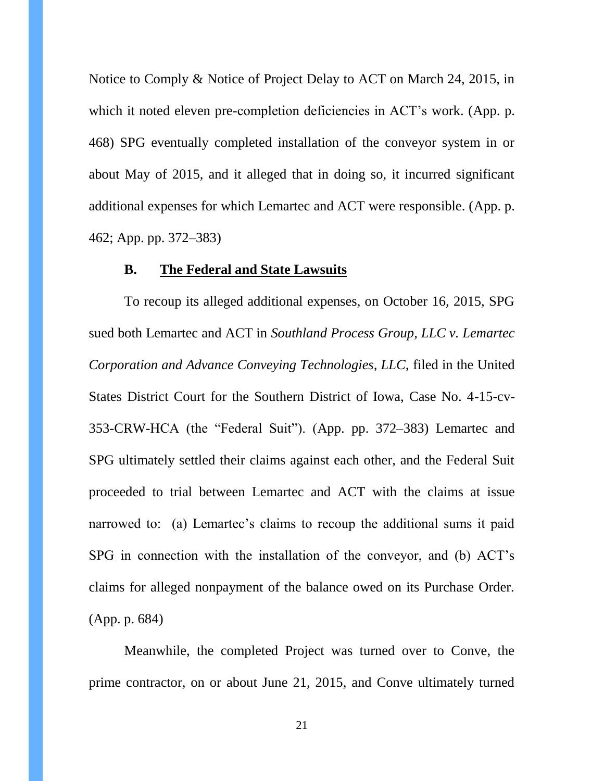Notice to Comply & Notice of Project Delay to ACT on March 24, 2015, in which it noted eleven pre-completion deficiencies in ACT's work. (App. p. 468) SPG eventually completed installation of the conveyor system in or about May of 2015, and it alleged that in doing so, it incurred significant additional expenses for which Lemartec and ACT were responsible. (App. p. 462; App. pp. 372–383)

#### **B. The Federal and State Lawsuits**

To recoup its alleged additional expenses, on October 16, 2015, SPG sued both Lemartec and ACT in *Southland Process Group, LLC v. Lemartec Corporation and Advance Conveying Technologies, LLC,* filed in the United States District Court for the Southern District of Iowa, Case No. 4-15-cv-353-CRW-HCA (the "Federal Suit"). (App. pp. 372–383) Lemartec and SPG ultimately settled their claims against each other, and the Federal Suit proceeded to trial between Lemartec and ACT with the claims at issue narrowed to: (a) Lemartec's claims to recoup the additional sums it paid SPG in connection with the installation of the conveyor, and (b) ACT's claims for alleged nonpayment of the balance owed on its Purchase Order. (App. p. 684)

Meanwhile, the completed Project was turned over to Conve, the prime contractor, on or about June 21, 2015, and Conve ultimately turned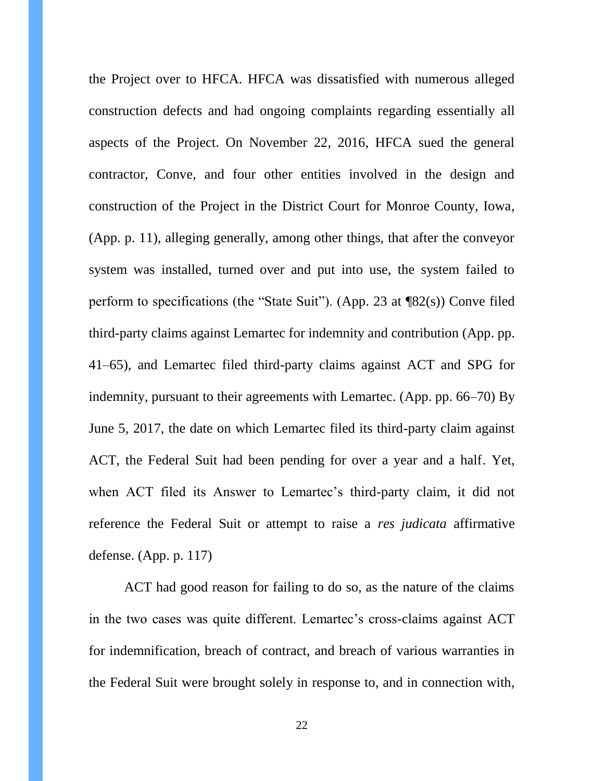the Project over to HFCA. HFCA was dissatisfied with numerous alleged construction defects and had ongoing complaints regarding essentially all aspects of the Project. On November 22, 2016, HFCA sued the general contractor, Conve, and four other entities involved in the design and construction of the Project in the District Court for Monroe County, Iowa, (App. p. 11), alleging generally, among other things, that after the conveyor system was installed, turned over and put into use, the system failed to perform to specifications (the "State Suit"). (App. 23 at ¶82(s)) Conve filed third-party claims against Lemartec for indemnity and contribution (App. pp. 41–65), and Lemartec filed third-party claims against ACT and SPG for indemnity, pursuant to their agreements with Lemartec. (App. pp. 66–70) By June 5, 2017, the date on which Lemartec filed its third-party claim against ACT, the Federal Suit had been pending for over a year and a half. Yet, when ACT filed its Answer to Lemartec's third-party claim, it did not reference the Federal Suit or attempt to raise a *res judicata* affirmative defense. (App. p. 117)

ACT had good reason for failing to do so, as the nature of the claims in the two cases was quite different. Lemartec's cross-claims against ACT for indemnification, breach of contract, and breach of various warranties in the Federal Suit were brought solely in response to, and in connection with,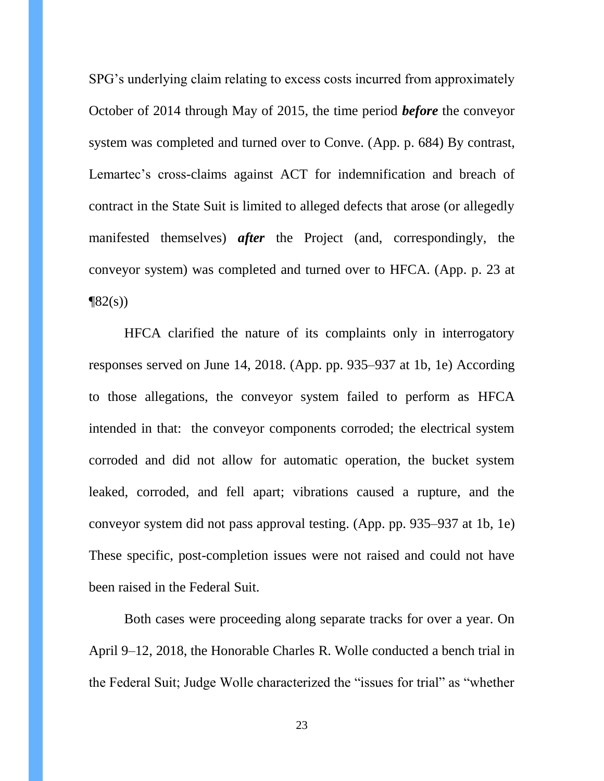SPG's underlying claim relating to excess costs incurred from approximately October of 2014 through May of 2015, the time period *before* the conveyor system was completed and turned over to Conve. (App. p. 684) By contrast, Lemartec's cross-claims against ACT for indemnification and breach of contract in the State Suit is limited to alleged defects that arose (or allegedly manifested themselves) *after* the Project (and, correspondingly, the conveyor system) was completed and turned over to HFCA. (App. p. 23 at  $\P(82(s))$ 

HFCA clarified the nature of its complaints only in interrogatory responses served on June 14, 2018. (App. pp. 935–937 at 1b, 1e) According to those allegations, the conveyor system failed to perform as HFCA intended in that: the conveyor components corroded; the electrical system corroded and did not allow for automatic operation, the bucket system leaked, corroded, and fell apart; vibrations caused a rupture, and the conveyor system did not pass approval testing. (App. pp. 935–937 at 1b, 1e) These specific, post-completion issues were not raised and could not have been raised in the Federal Suit.

Both cases were proceeding along separate tracks for over a year. On April 9–12, 2018, the Honorable Charles R. Wolle conducted a bench trial in the Federal Suit; Judge Wolle characterized the "issues for trial" as "whether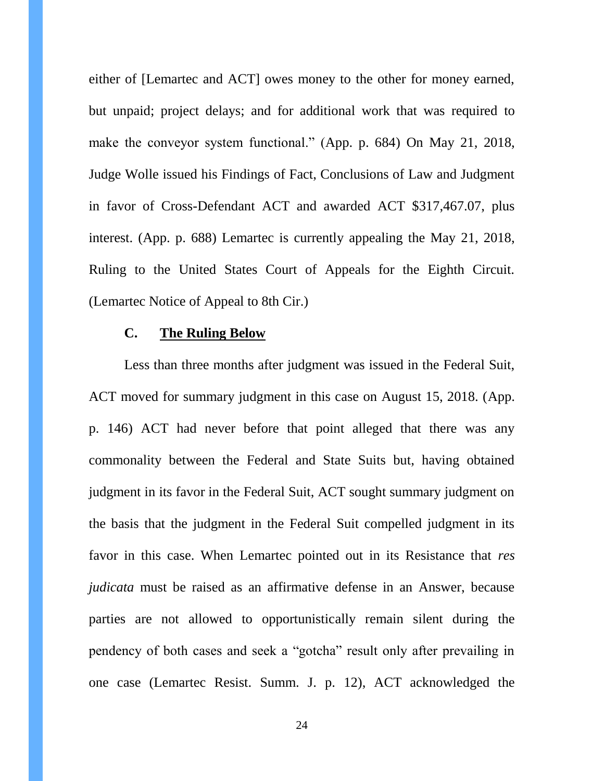either of [Lemartec and ACT] owes money to the other for money earned, but unpaid; project delays; and for additional work that was required to make the conveyor system functional." (App. p. 684) On May 21, 2018, Judge Wolle issued his Findings of Fact, Conclusions of Law and Judgment in favor of Cross-Defendant ACT and awarded ACT \$317,467.07, plus interest. (App. p. 688) Lemartec is currently appealing the May 21, 2018, Ruling to the United States Court of Appeals for the Eighth Circuit. (Lemartec Notice of Appeal to 8th Cir.)

### **C. The Ruling Below**

Less than three months after judgment was issued in the Federal Suit, ACT moved for summary judgment in this case on August 15, 2018. (App. p. 146) ACT had never before that point alleged that there was any commonality between the Federal and State Suits but, having obtained judgment in its favor in the Federal Suit, ACT sought summary judgment on the basis that the judgment in the Federal Suit compelled judgment in its favor in this case. When Lemartec pointed out in its Resistance that *res judicata* must be raised as an affirmative defense in an Answer, because parties are not allowed to opportunistically remain silent during the pendency of both cases and seek a "gotcha" result only after prevailing in one case (Lemartec Resist. Summ. J. p. 12), ACT acknowledged the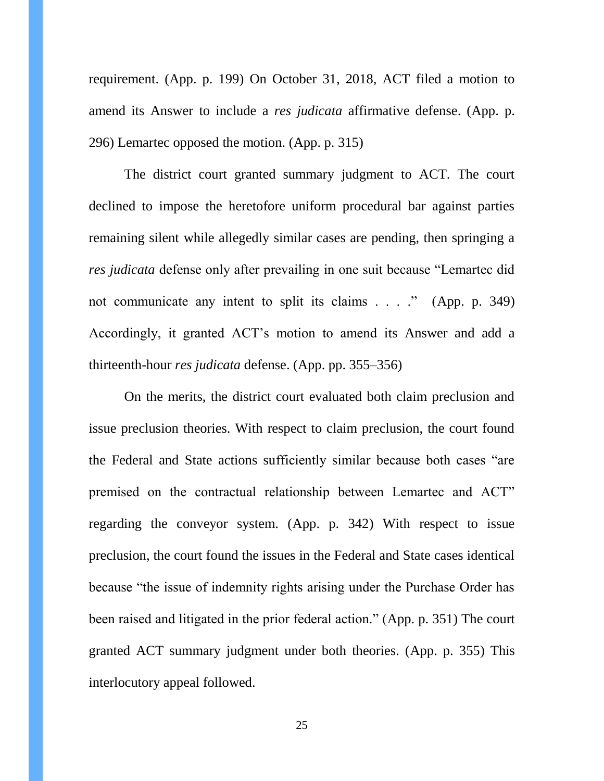requirement. (App. p. 199) On October 31, 2018, ACT filed a motion to amend its Answer to include a *res judicata* affirmative defense. (App. p. 296) Lemartec opposed the motion. (App. p. 315)

The district court granted summary judgment to ACT. The court declined to impose the heretofore uniform procedural bar against parties remaining silent while allegedly similar cases are pending, then springing a *res judicata* defense only after prevailing in one suit because "Lemartec did not communicate any intent to split its claims . . . ." (App. p. 349) Accordingly, it granted ACT's motion to amend its Answer and add a thirteenth-hour *res judicata* defense. (App. pp. 355–356)

On the merits, the district court evaluated both claim preclusion and issue preclusion theories. With respect to claim preclusion, the court found the Federal and State actions sufficiently similar because both cases "are premised on the contractual relationship between Lemartec and ACT" regarding the conveyor system. (App. p. 342) With respect to issue preclusion, the court found the issues in the Federal and State cases identical because "the issue of indemnity rights arising under the Purchase Order has been raised and litigated in the prior federal action." (App. p. 351) The court granted ACT summary judgment under both theories. (App. p. 355) This interlocutory appeal followed.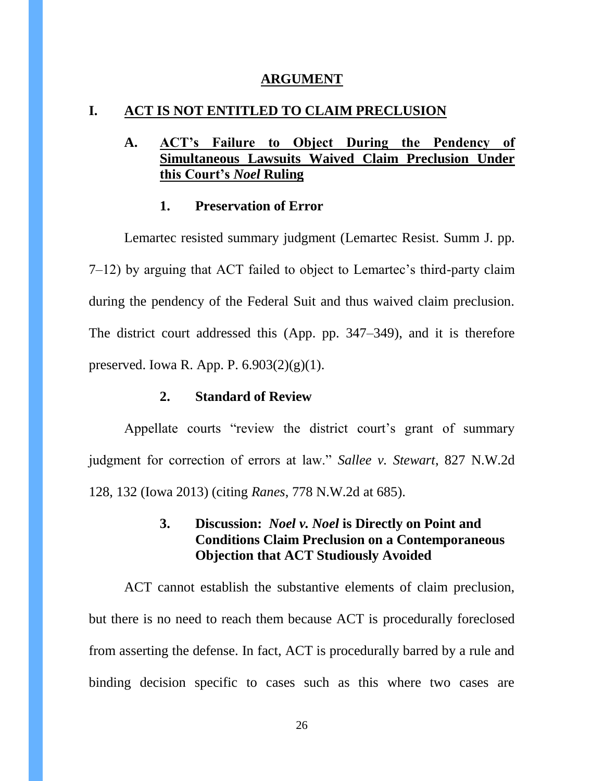### **ARGUMENT**

### **I. ACT IS NOT ENTITLED TO CLAIM PRECLUSION**

# **A. ACT's Failure to Object During the Pendency of Simultaneous Lawsuits Waived Claim Preclusion Under this Court's** *Noel* **Ruling**

#### **1. Preservation of Error**

Lemartec resisted summary judgment (Lemartec Resist. Summ J. pp. 7–12) by arguing that ACT failed to object to Lemartec's third-party claim during the pendency of the Federal Suit and thus waived claim preclusion. The district court addressed this (App. pp. 347–349), and it is therefore preserved. Iowa R. App. P. 6.903(2)(g)(1).

### **2. Standard of Review**

Appellate courts "review the district court's grant of summary judgment for correction of errors at law." *Sallee v. Stewart*, 827 N.W.2d 128, 132 (Iowa 2013) (citing *Ranes*, 778 N.W.2d at 685).

## **3. Discussion:** *Noel v. Noel* **is Directly on Point and Conditions Claim Preclusion on a Contemporaneous Objection that ACT Studiously Avoided**

ACT cannot establish the substantive elements of claim preclusion, but there is no need to reach them because ACT is procedurally foreclosed from asserting the defense. In fact, ACT is procedurally barred by a rule and binding decision specific to cases such as this where two cases are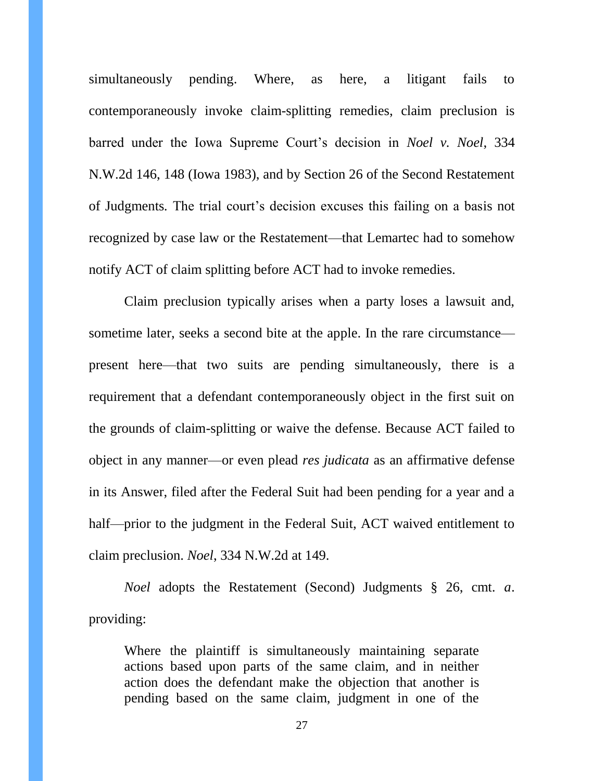simultaneously pending. Where, as here, a litigant fails to contemporaneously invoke claim-splitting remedies, claim preclusion is barred under the Iowa Supreme Court's decision in *Noel v. Noel*, 334 N.W.2d 146, 148 (Iowa 1983), and by Section 26 of the Second Restatement of Judgments*.* The trial court's decision excuses this failing on a basis not recognized by case law or the Restatement—that Lemartec had to somehow notify ACT of claim splitting before ACT had to invoke remedies.

Claim preclusion typically arises when a party loses a lawsuit and, sometime later, seeks a second bite at the apple. In the rare circumstance present here—that two suits are pending simultaneously, there is a requirement that a defendant contemporaneously object in the first suit on the grounds of claim-splitting or waive the defense. Because ACT failed to object in any manner—or even plead *res judicata* as an affirmative defense in its Answer, filed after the Federal Suit had been pending for a year and a half—prior to the judgment in the Federal Suit, ACT waived entitlement to claim preclusion. *Noel*, 334 N.W.2d at 149.

*Noel* adopts the Restatement (Second) Judgments § 26, cmt. *a*. providing:

Where the plaintiff is simultaneously maintaining separate actions based upon parts of the same claim, and in neither action does the defendant make the objection that another is pending based on the same claim, judgment in one of the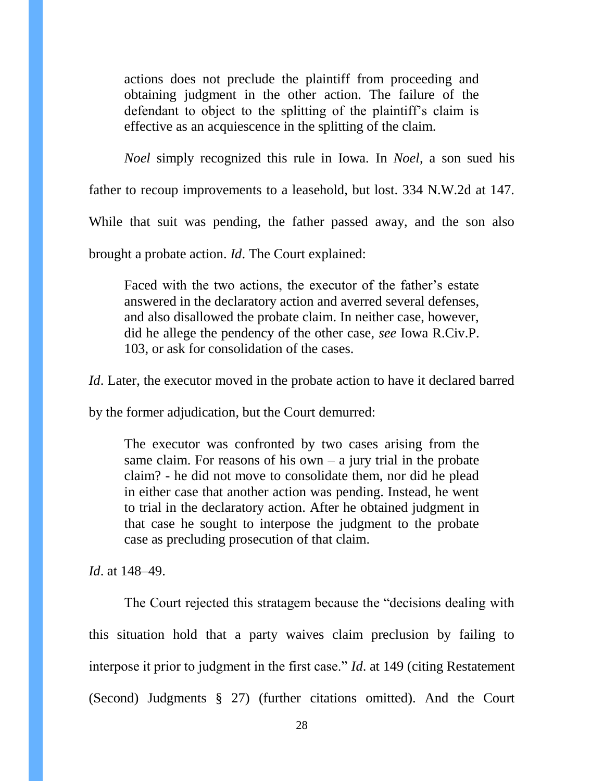actions does not preclude the plaintiff from proceeding and obtaining judgment in the other action. The failure of the defendant to object to the splitting of the plaintiff's claim is effective as an acquiescence in the splitting of the claim.

*Noel* simply recognized this rule in Iowa. In *Noel*, a son sued his

father to recoup improvements to a leasehold, but lost. 334 N.W.2d at 147.

While that suit was pending, the father passed away, and the son also

brought a probate action. *Id*. The Court explained:

Faced with the two actions, the executor of the father's estate answered in the declaratory action and averred several defenses, and also disallowed the probate claim. In neither case, however, did he allege the pendency of the other case, *see* Iowa R.Civ.P. 103, or ask for consolidation of the cases.

*Id*. Later, the executor moved in the probate action to have it declared barred

by the former adjudication, but the Court demurred:

The executor was confronted by two cases arising from the same claim. For reasons of his own  $-$  a jury trial in the probate claim? - he did not move to consolidate them, nor did he plead in either case that another action was pending. Instead, he went to trial in the declaratory action. After he obtained judgment in that case he sought to interpose the judgment to the probate case as precluding prosecution of that claim.

*Id*. at 148–49.

The Court rejected this stratagem because the "decisions dealing with this situation hold that a party waives claim preclusion by failing to interpose it prior to judgment in the first case." *Id*. at 149 (citing Restatement (Second) Judgments § 27) (further citations omitted). And the Court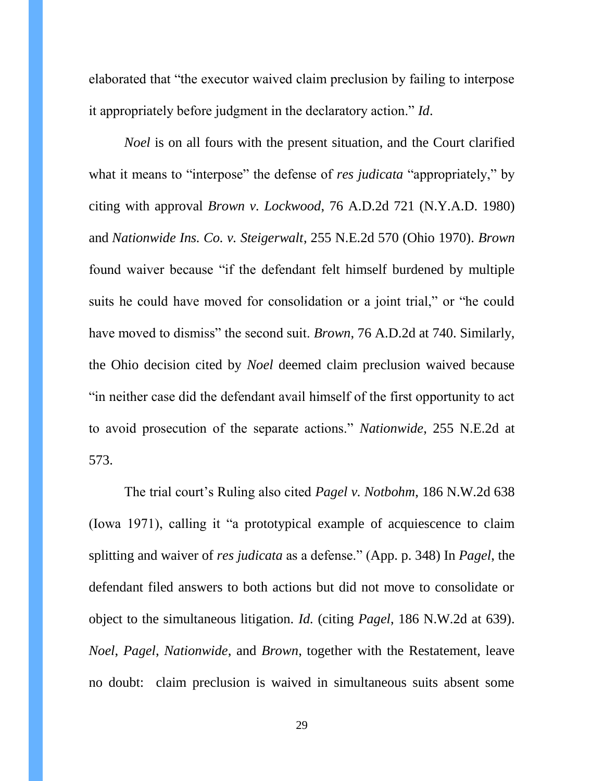elaborated that "the executor waived claim preclusion by failing to interpose it appropriately before judgment in the declaratory action." *Id*.

*Noel* is on all fours with the present situation, and the Court clarified what it means to "interpose" the defense of *res judicata* "appropriately," by citing with approval *Brown v. Lockwood*, 76 A.D.2d 721 (N.Y.A.D. 1980) and *Nationwide Ins. Co. v. Steigerwalt*, 255 N.E.2d 570 (Ohio 1970). *Brown* found waiver because "if the defendant felt himself burdened by multiple suits he could have moved for consolidation or a joint trial," or "he could have moved to dismiss" the second suit. *Brown*, 76 A.D.2d at 740. Similarly, the Ohio decision cited by *Noel* deemed claim preclusion waived because "in neither case did the defendant avail himself of the first opportunity to act to avoid prosecution of the separate actions." *Nationwide*, 255 N.E.2d at 573.

The trial court's Ruling also cited *Pagel v. Notbohm*, 186 N.W.2d 638 (Iowa 1971), calling it "a prototypical example of acquiescence to claim splitting and waiver of *res judicata* as a defense." (App. p. 348) In *Pagel*, the defendant filed answers to both actions but did not move to consolidate or object to the simultaneous litigation. *Id.* (citing *Pagel*, 186 N.W.2d at 639). *Noel*, *Pagel*, *Nationwide*, and *Brown*, together with the Restatement, leave no doubt: claim preclusion is waived in simultaneous suits absent some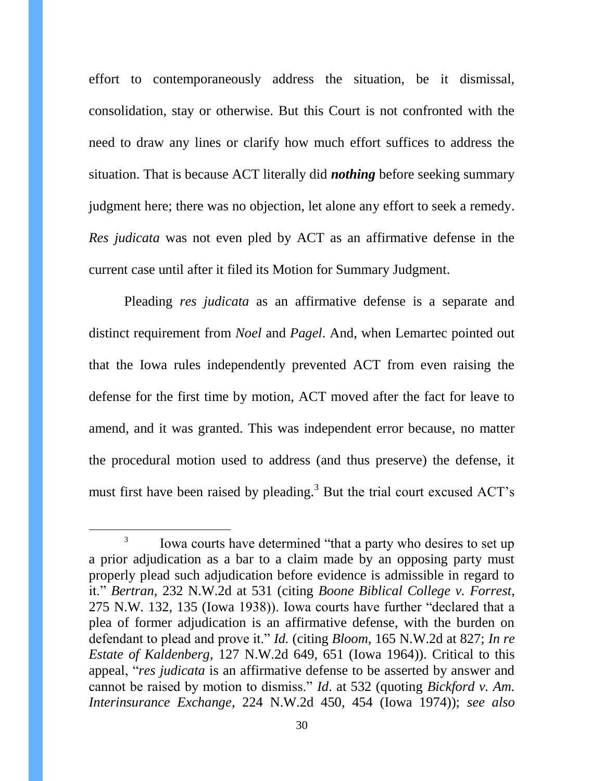effort to contemporaneously address the situation, be it dismissal, consolidation, stay or otherwise. But this Court is not confronted with the need to draw any lines or clarify how much effort suffices to address the situation. That is because ACT literally did *nothing* before seeking summary judgment here; there was no objection, let alone any effort to seek a remedy. *Res judicata* was not even pled by ACT as an affirmative defense in the current case until after it filed its Motion for Summary Judgment.

Pleading *res judicata* as an affirmative defense is a separate and distinct requirement from *Noel* and *Pagel*. And, when Lemartec pointed out that the Iowa rules independently prevented ACT from even raising the defense for the first time by motion, ACT moved after the fact for leave to amend, and it was granted. This was independent error because, no matter the procedural motion used to address (and thus preserve) the defense, it must first have been raised by pleading.<sup>3</sup> But the trial court excused ACT's

<sup>3</sup> Iowa courts have determined "that a party who desires to set up a prior adjudication as a bar to a claim made by an opposing party must properly plead such adjudication before evidence is admissible in regard to it." *Bertran*, 232 N.W.2d at 531 (citing *Boone Biblical College v. Forrest*, 275 N.W. 132, 135 (Iowa 1938)). Iowa courts have further "declared that a plea of former adjudication is an affirmative defense, with the burden on defendant to plead and prove it." *Id.* (citing *Bloom*, 165 N.W.2d at 827; *In re Estate of Kaldenberg*, 127 N.W.2d 649, 651 (Iowa 1964)). Critical to this appeal, "*res judicata* is an affirmative defense to be asserted by answer and cannot be raised by motion to dismiss." *Id*. at 532 (quoting *Bickford v. Am. Interinsurance Exchange*, 224 N.W.2d 450, 454 (Iowa 1974)); *see also*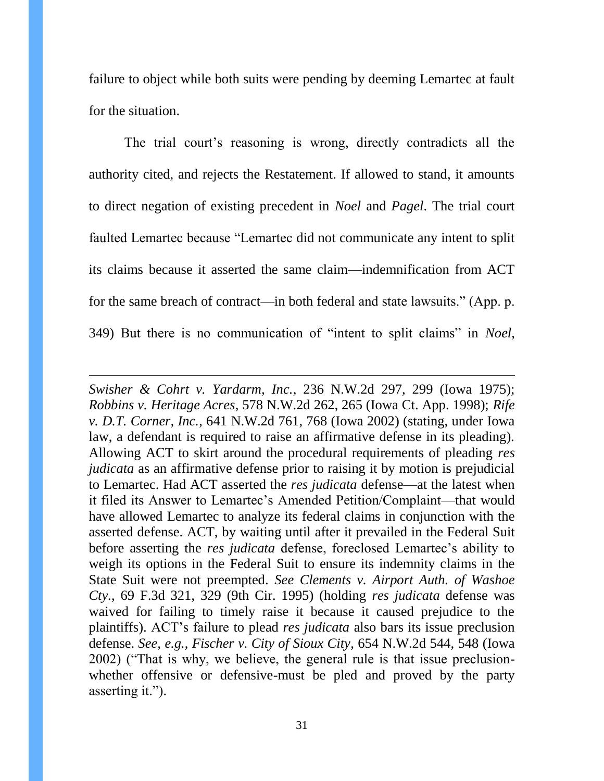failure to object while both suits were pending by deeming Lemartec at fault for the situation.

The trial court's reasoning is wrong, directly contradicts all the authority cited, and rejects the Restatement. If allowed to stand, it amounts to direct negation of existing precedent in *Noel* and *Pagel*. The trial court faulted Lemartec because "Lemartec did not communicate any intent to split its claims because it asserted the same claim—indemnification from ACT for the same breach of contract—in both federal and state lawsuits." (App. p. 349) But there is no communication of "intent to split claims" in *Noel*,

 $\overline{a}$ 

*Swisher & Cohrt v. Yardarm, Inc.*, 236 N.W.2d 297, 299 (Iowa 1975); *Robbins v. Heritage Acres*, 578 N.W.2d 262, 265 (Iowa Ct. App. 1998); *Rife v. D.T. Corner, Inc.*, 641 N.W.2d 761, 768 (Iowa 2002) (stating, under Iowa law, a defendant is required to raise an affirmative defense in its pleading). Allowing ACT to skirt around the procedural requirements of pleading *res judicata* as an affirmative defense prior to raising it by motion is prejudicial to Lemartec. Had ACT asserted the *res judicata* defense—at the latest when it filed its Answer to Lemartec's Amended Petition/Complaint—that would have allowed Lemartec to analyze its federal claims in conjunction with the asserted defense. ACT, by waiting until after it prevailed in the Federal Suit before asserting the *res judicata* defense, foreclosed Lemartec's ability to weigh its options in the Federal Suit to ensure its indemnity claims in the State Suit were not preempted. *See Clements v. Airport Auth. of Washoe Cty.*, 69 F.3d 321, 329 (9th Cir. 1995) (holding *res judicata* defense was waived for failing to timely raise it because it caused prejudice to the plaintiffs). ACT's failure to plead *res judicata* also bars its issue preclusion defense. *See, e.g.*, *Fischer v. City of Sioux City*, 654 N.W.2d 544, 548 (Iowa 2002) ("That is why, we believe, the general rule is that issue preclusionwhether offensive or defensive-must be pled and proved by the party asserting it.").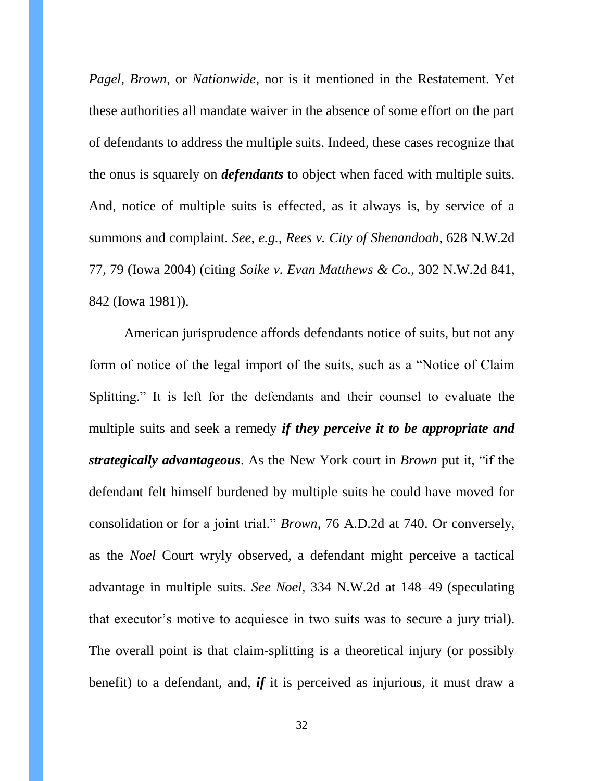*Pagel*, *Brown*, or *Nationwide*, nor is it mentioned in the Restatement. Yet these authorities all mandate waiver in the absence of some effort on the part of defendants to address the multiple suits. Indeed, these cases recognize that the onus is squarely on *defendants* to object when faced with multiple suits. And, notice of multiple suits is effected, as it always is, by service of a summons and complaint. *See, e.g.*, *Rees v. City of Shenandoah*, 628 N.W.2d 77, 79 (Iowa 2004) (citing *Soike v. Evan Matthews & Co.*, 302 N.W.2d 841, 842 (Iowa 1981)).

American jurisprudence affords defendants notice of suits, but not any form of notice of the legal import of the suits, such as a "Notice of Claim Splitting." It is left for the defendants and their counsel to evaluate the multiple suits and seek a remedy *if they perceive it to be appropriate and strategically advantageous*. As the New York court in *Brown* put it, "if the defendant felt himself burdened by multiple suits he could have moved for consolidation or for a joint trial." *Brown*, 76 A.D.2d at 740. Or conversely, as the *Noel* Court wryly observed, a defendant might perceive a tactical advantage in multiple suits. *See Noel*, 334 N.W.2d at 148–49 (speculating that executor's motive to acquiesce in two suits was to secure a jury trial). The overall point is that claim-splitting is a theoretical injury (or possibly benefit) to a defendant, and, *if* it is perceived as injurious, it must draw a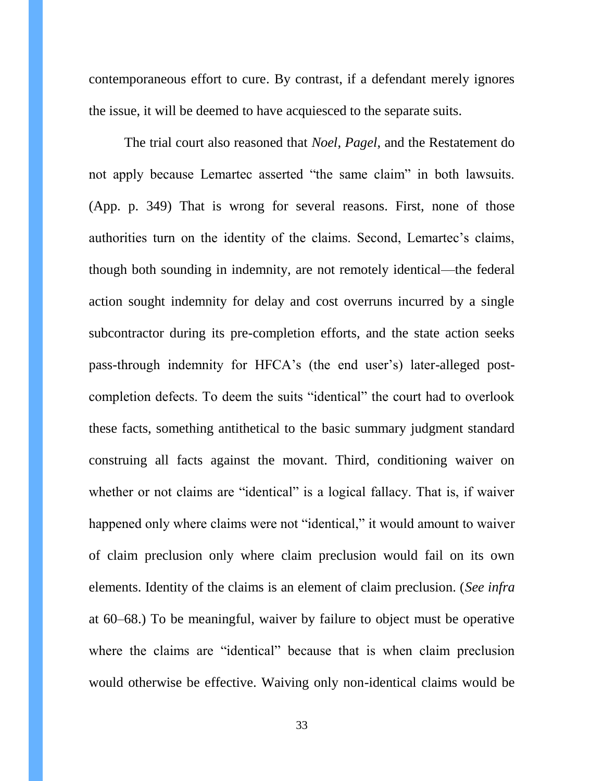contemporaneous effort to cure. By contrast, if a defendant merely ignores the issue, it will be deemed to have acquiesced to the separate suits.

The trial court also reasoned that *Noel*, *Pagel*, and the Restatement do not apply because Lemartec asserted "the same claim" in both lawsuits. (App. p. 349) That is wrong for several reasons. First, none of those authorities turn on the identity of the claims. Second, Lemartec's claims, though both sounding in indemnity, are not remotely identical—the federal action sought indemnity for delay and cost overruns incurred by a single subcontractor during its pre-completion efforts, and the state action seeks pass-through indemnity for HFCA's (the end user's) later-alleged postcompletion defects. To deem the suits "identical" the court had to overlook these facts, something antithetical to the basic summary judgment standard construing all facts against the movant. Third, conditioning waiver on whether or not claims are "identical" is a logical fallacy. That is, if waiver happened only where claims were not "identical," it would amount to waiver of claim preclusion only where claim preclusion would fail on its own elements. Identity of the claims is an element of claim preclusion. (*See infra* at 60–68.) To be meaningful, waiver by failure to object must be operative where the claims are "identical" because that is when claim preclusion would otherwise be effective. Waiving only non-identical claims would be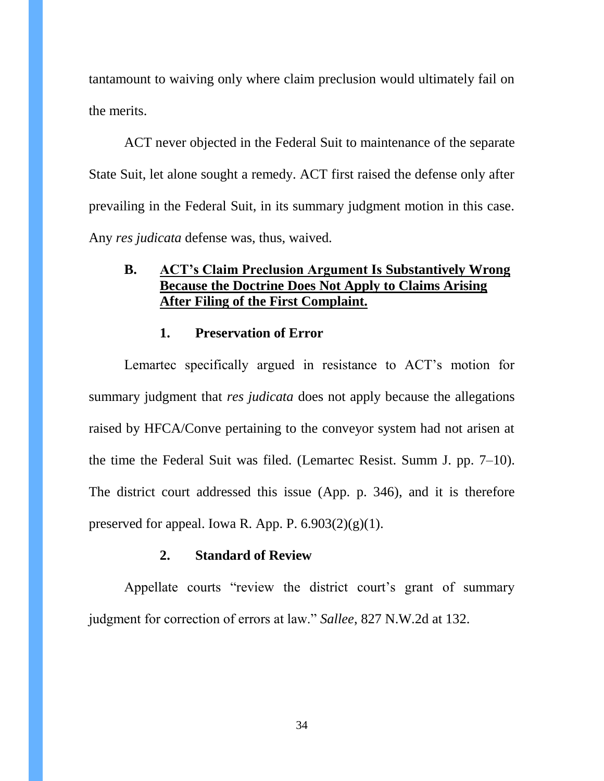tantamount to waiving only where claim preclusion would ultimately fail on the merits.

ACT never objected in the Federal Suit to maintenance of the separate State Suit, let alone sought a remedy. ACT first raised the defense only after prevailing in the Federal Suit, in its summary judgment motion in this case. Any *res judicata* defense was, thus, waived.

### **B. ACT's Claim Preclusion Argument Is Substantively Wrong Because the Doctrine Does Not Apply to Claims Arising After Filing of the First Complaint.**

### **1. Preservation of Error**

Lemartec specifically argued in resistance to ACT's motion for summary judgment that *res judicata* does not apply because the allegations raised by HFCA/Conve pertaining to the conveyor system had not arisen at the time the Federal Suit was filed. (Lemartec Resist. Summ J. pp. 7–10). The district court addressed this issue (App. p. 346), and it is therefore preserved for appeal. Iowa R. App. P.  $6.903(2)(g)(1)$ .

#### **2. Standard of Review**

Appellate courts "review the district court's grant of summary judgment for correction of errors at law." *Sallee*, 827 N.W.2d at 132.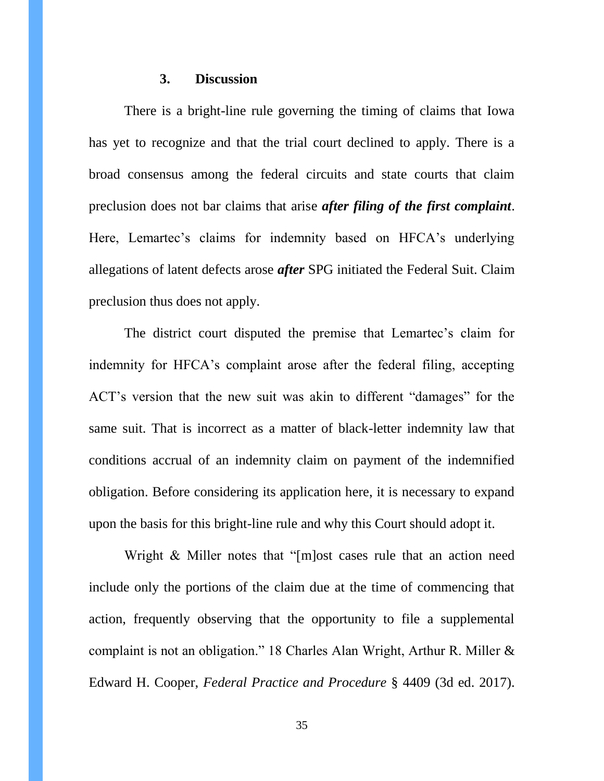#### **3. Discussion**

There is a bright-line rule governing the timing of claims that Iowa has yet to recognize and that the trial court declined to apply. There is a broad consensus among the federal circuits and state courts that claim preclusion does not bar claims that arise *after filing of the first complaint*. Here, Lemartec's claims for indemnity based on HFCA's underlying allegations of latent defects arose *after* SPG initiated the Federal Suit. Claim preclusion thus does not apply.

The district court disputed the premise that Lemartec's claim for indemnity for HFCA's complaint arose after the federal filing, accepting ACT's version that the new suit was akin to different "damages" for the same suit. That is incorrect as a matter of black-letter indemnity law that conditions accrual of an indemnity claim on payment of the indemnified obligation. Before considering its application here, it is necessary to expand upon the basis for this bright-line rule and why this Court should adopt it.

Wright & Miller notes that "[m]ost cases rule that an action need include only the portions of the claim due at the time of commencing that action, frequently observing that the opportunity to file a supplemental complaint is not an obligation." 18 Charles Alan Wright, Arthur R. Miller & Edward H. Cooper, *Federal Practice and Procedure* § 4409 (3d ed. 2017).

35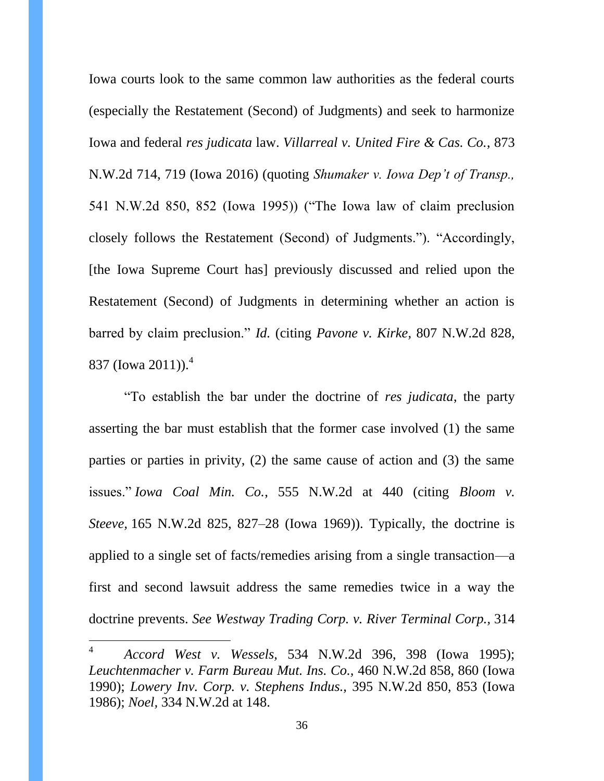Iowa courts look to the same common law authorities as the federal courts (especially the Restatement (Second) of Judgments) and seek to harmonize Iowa and federal *res judicata* law. *Villarreal v. United Fire & Cas. Co.*, 873 N.W.2d 714, 719 (Iowa 2016) (quoting *Shumaker v. Iowa Dep't of Transp.,* 541 N.W.2d 850, 852 (Iowa 1995)) ("The Iowa law of claim preclusion closely follows the Restatement (Second) of Judgments."). "Accordingly, [the Iowa Supreme Court has] previously discussed and relied upon the Restatement (Second) of Judgments in determining whether an action is barred by claim preclusion." *Id.* (citing *Pavone v. Kirke,* 807 N.W.2d 828, 837 (Iowa 2011)).<sup>4</sup>

"To establish the bar under the doctrine of *res judicata*, the party asserting the bar must establish that the former case involved (1) the same parties or parties in privity, (2) the same cause of action and (3) the same issues." *Iowa Coal Min. Co.*, 555 N.W.2d at 440 (citing *Bloom v. Steeve,* 165 N.W.2d 825, 827–28 (Iowa 1969)). Typically, the doctrine is applied to a single set of facts/remedies arising from a single transaction—a first and second lawsuit address the same remedies twice in a way the doctrine prevents. *See Westway Trading Corp. v. River Terminal Corp.,* 314

<sup>4</sup> *Accord West v. Wessels,* 534 N.W.2d 396, 398 (Iowa 1995); *Leuchtenmacher v. Farm Bureau Mut. Ins. Co.,* 460 N.W.2d 858, 860 (Iowa 1990); *Lowery Inv. Corp. v. Stephens Indus.,* 395 N.W.2d 850, 853 (Iowa 1986); *Noel,* 334 N.W.2d at 148.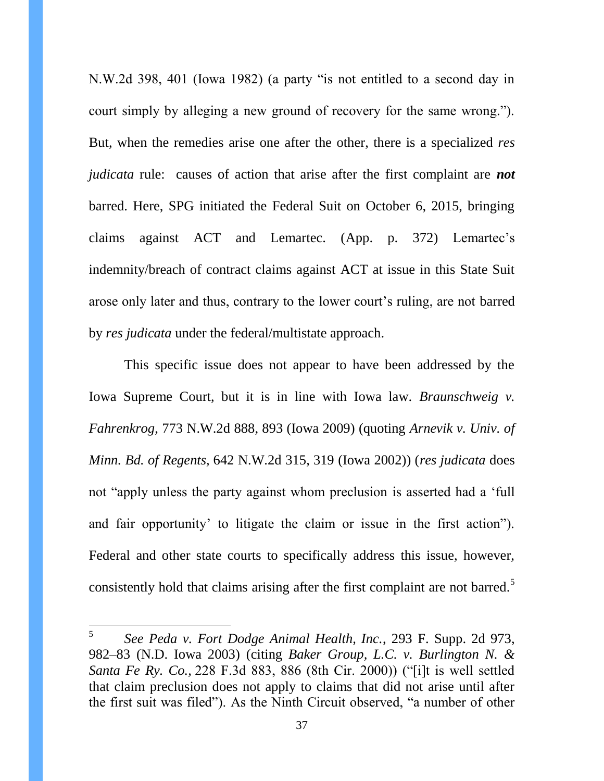N.W.2d 398, 401 (Iowa 1982) (a party "is not entitled to a second day in court simply by alleging a new ground of recovery for the same wrong."). But, when the remedies arise one after the other, there is a specialized *res judicata* rule: causes of action that arise after the first complaint are *not* barred. Here, SPG initiated the Federal Suit on October 6, 2015, bringing claims against ACT and Lemartec. (App. p. 372) Lemartec's indemnity/breach of contract claims against ACT at issue in this State Suit arose only later and thus, contrary to the lower court's ruling, are not barred by *res judicata* under the federal/multistate approach.

This specific issue does not appear to have been addressed by the Iowa Supreme Court, but it is in line with Iowa law. *Braunschweig v. Fahrenkrog*, 773 N.W.2d 888, 893 (Iowa 2009) (quoting *Arnevik v. Univ. of Minn. Bd. of Regents,* 642 N.W.2d 315, 319 (Iowa 2002)) (*res judicata* does not "apply unless the party against whom preclusion is asserted had a 'full and fair opportunity' to litigate the claim or issue in the first action"). Federal and other state courts to specifically address this issue, however, consistently hold that claims arising after the first complaint are not barred.<sup>5</sup>

<sup>5</sup> *See Peda v. Fort Dodge Animal Health, Inc.*, 293 F. Supp. 2d 973, 982–83 (N.D. Iowa 2003) (citing *Baker Group, L.C. v. Burlington N. & Santa Fe Ry. Co.,* 228 F.3d 883, 886 (8th Cir. 2000)) ("[i]t is well settled that claim preclusion does not apply to claims that did not arise until after the first suit was filed"). As the Ninth Circuit observed, "a number of other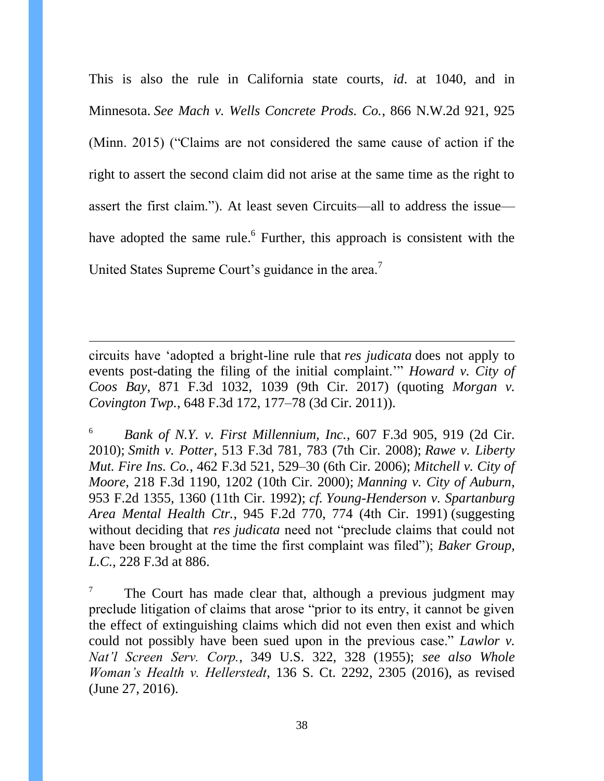This is also the rule in California state courts, *id*. at 1040, and in Minnesota. *See Mach v. Wells Concrete Prods. Co.*, 866 N.W.2d 921, 925 (Minn. 2015) ("Claims are not considered the same cause of action if the right to assert the second claim did not arise at the same time as the right to assert the first claim."). At least seven Circuits—all to address the issue have adopted the same rule.<sup>6</sup> Further, this approach is consistent with the United States Supreme Court's guidance in the area.<sup>7</sup>

circuits have 'adopted a bright-line rule that *res judicata* does not apply to events post-dating the filing of the initial complaint.'" *Howard v. City of Coos Bay*, 871 F.3d 1032, 1039 (9th Cir. 2017) (quoting *Morgan v. Covington Twp.*, 648 F.3d 172, 177–78 (3d Cir. 2011)).

 $\overline{a}$ 

<sup>6</sup> *Bank of N.Y. v. First Millennium, Inc.*, 607 F.3d 905, 919 (2d Cir. 2010); *Smith v. Potter*, 513 F.3d 781, 783 (7th Cir. 2008); *Rawe v. Liberty Mut. Fire Ins. Co.*, 462 F.3d 521, 529–30 (6th Cir. 2006); *Mitchell v. City of Moore*, 218 F.3d 1190, 1202 (10th Cir. 2000); *Manning v. City of Auburn*, 953 F.2d 1355, 1360 (11th Cir. 1992); *cf. Young-Henderson v. Spartanburg Area Mental Health Ctr.*, 945 F.2d 770, 774 (4th Cir. 1991) (suggesting without deciding that *res judicata* need not "preclude claims that could not have been brought at the time the first complaint was filed"); *Baker Group, L.C.,* 228 F.3d at 886.

 $7$  The Court has made clear that, although a previous judgment may preclude litigation of claims that arose "prior to its entry, it cannot be given the effect of extinguishing claims which did not even then exist and which could not possibly have been sued upon in the previous case." *Lawlor v. Nat'l Screen Serv. Corp.*, 349 U.S. 322, 328 (1955); *see also Whole Woman's Health v. Hellerstedt*, 136 S. Ct. 2292, 2305 (2016), as revised (June 27, 2016).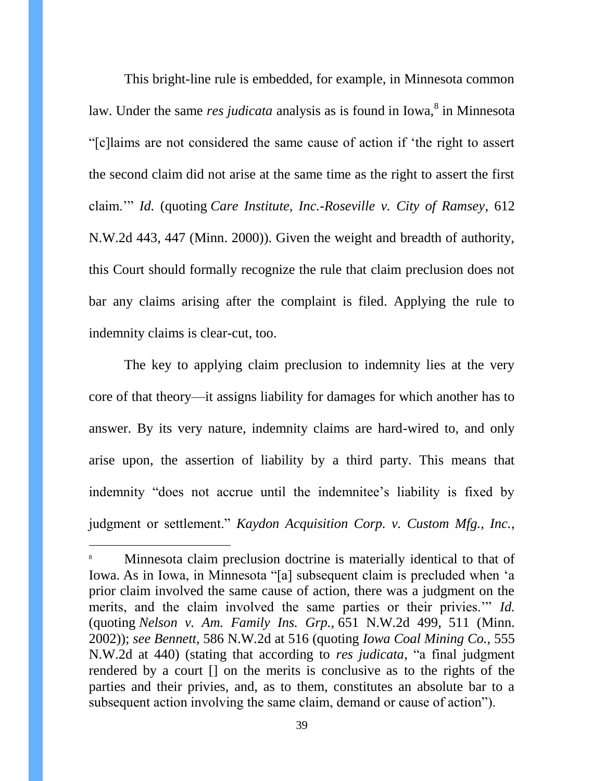This bright-line rule is embedded, for example, in Minnesota common law. Under the same *res judicata* analysis as is found in Iowa,<sup>8</sup> in Minnesota "[c]laims are not considered the same cause of action if 'the right to assert the second claim did not arise at the same time as the right to assert the first claim.'" *Id.* (quoting *Care Institute, Inc.-Roseville v. City of Ramsey*, 612 N.W.2d 443, 447 (Minn. 2000)). Given the weight and breadth of authority, this Court should formally recognize the rule that claim preclusion does not bar any claims arising after the complaint is filed. Applying the rule to indemnity claims is clear-cut, too.

The key to applying claim preclusion to indemnity lies at the very core of that theory—it assigns liability for damages for which another has to answer. By its very nature, indemnity claims are hard-wired to, and only arise upon, the assertion of liability by a third party. This means that indemnity "does not accrue until the indemnitee's liability is fixed by judgment or settlement." *Kaydon Acquisition Corp. v. Custom Mfg., Inc.*,

Minnesota claim preclusion doctrine is materially identical to that of Iowa. As in Iowa, in Minnesota "[a] subsequent claim is precluded when 'a prior claim involved the same cause of action, there was a judgment on the merits, and the claim involved the same parties or their privies.'" *Id.* (quoting *Nelson v. Am. Family Ins. Grp.,* 651 N.W.2d 499, 511 (Minn. 2002)); *see Bennett*, 586 N.W.2d at 516 (quoting *Iowa Coal Mining Co.,* 555 N.W.2d at 440) (stating that according to *res judicata*, "a final judgment rendered by a court [] on the merits is conclusive as to the rights of the parties and their privies, and, as to them, constitutes an absolute bar to a subsequent action involving the same claim, demand or cause of action").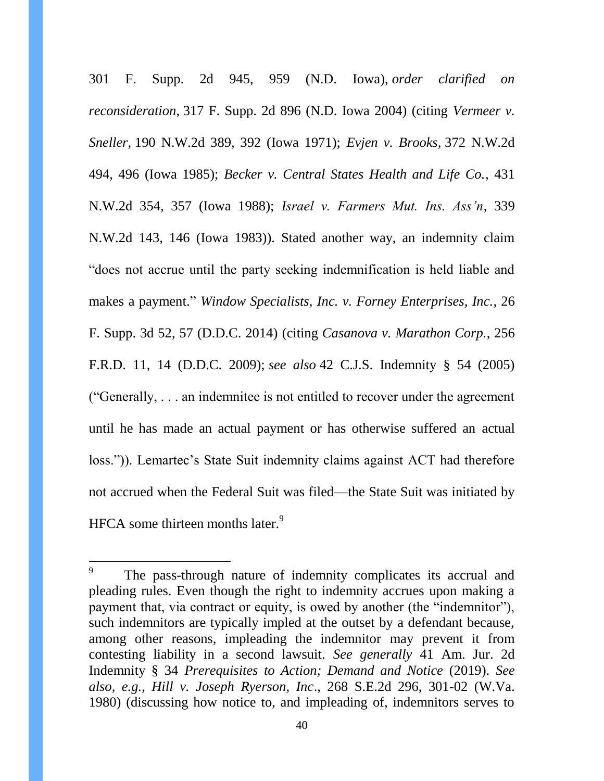301 F. Supp. 2d 945, 959 (N.D. Iowa), *order clarified on reconsideration*, 317 F. Supp. 2d 896 (N.D. Iowa 2004) (citing *Vermeer v. Sneller*, 190 N.W.2d 389, 392 (Iowa 1971); *Evjen v. Brooks,* 372 N.W.2d 494, 496 (Iowa 1985); *Becker v. Central States Health and Life Co.*, 431 N.W.2d 354, 357 (Iowa 1988); *Israel v. Farmers Mut. Ins. Ass'n*, 339 N.W.2d 143, 146 (Iowa 1983)). Stated another way, an indemnity claim "does not accrue until the party seeking indemnification is held liable and makes a payment." *Window Specialists, Inc. v. Forney Enterprises, Inc.*, 26 F. Supp. 3d 52, 57 (D.D.C. 2014) (citing *Casanova v. Marathon Corp.*, 256 F.R.D. 11, 14 (D.D.C. 2009); *see also* 42 C.J.S. Indemnity § 54 (2005) ("Generally, . . . an indemnitee is not entitled to recover under the agreement until he has made an actual payment or has otherwise suffered an actual loss.")). Lemartec's State Suit indemnity claims against ACT had therefore not accrued when the Federal Suit was filed—the State Suit was initiated by HFCA some thirteen months later.<sup>9</sup>

<sup>9</sup> The pass-through nature of indemnity complicates its accrual and pleading rules. Even though the right to indemnity accrues upon making a payment that, via contract or equity, is owed by another (the "indemnitor"), such indemnitors are typically impled at the outset by a defendant because, among other reasons, impleading the indemnitor may prevent it from contesting liability in a second lawsuit. *See generally* 41 Am. Jur. 2d Indemnity § 34 *Prerequisites to Action; Demand and Notice* (2019). *See also, e.g.*, *Hill v. Joseph Ryerson, Inc*., 268 S.E.2d 296, 301-02 (W.Va. 1980) (discussing how notice to, and impleading of, indemnitors serves to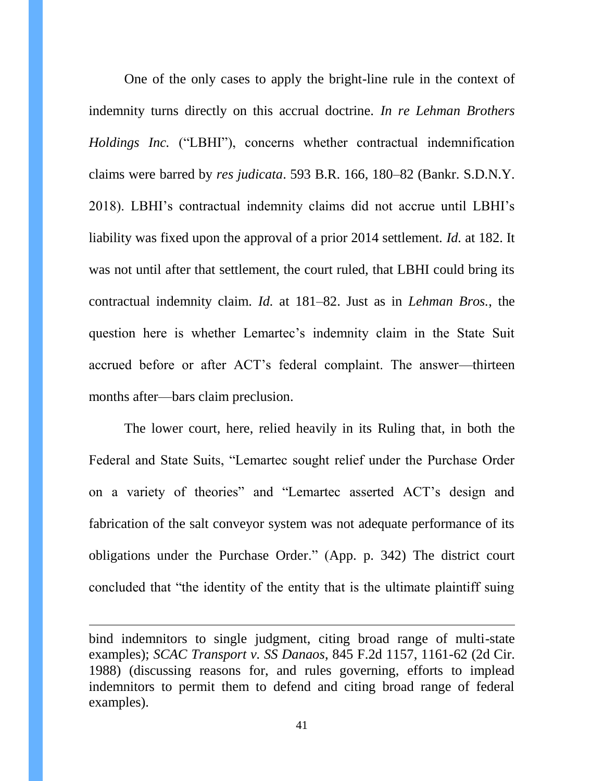One of the only cases to apply the bright-line rule in the context of indemnity turns directly on this accrual doctrine. *In re Lehman Brothers Holdings Inc.* ("LBHI"), concerns whether contractual indemnification claims were barred by *res judicata*. 593 B.R. 166, 180–82 (Bankr. S.D.N.Y. 2018). LBHI's contractual indemnity claims did not accrue until LBHI's liability was fixed upon the approval of a prior 2014 settlement. *Id.* at 182. It was not until after that settlement, the court ruled, that LBHI could bring its contractual indemnity claim. *Id.* at 181–82. Just as in *Lehman Bros.*, the question here is whether Lemartec's indemnity claim in the State Suit accrued before or after ACT's federal complaint. The answer—thirteen months after—bars claim preclusion.

The lower court, here, relied heavily in its Ruling that, in both the Federal and State Suits, "Lemartec sought relief under the Purchase Order on a variety of theories" and "Lemartec asserted ACT's design and fabrication of the salt conveyor system was not adequate performance of its obligations under the Purchase Order." (App. p. 342) The district court concluded that "the identity of the entity that is the ultimate plaintiff suing

bind indemnitors to single judgment, citing broad range of multi-state examples); *SCAC Transport v. SS Danaos*, 845 F.2d 1157, 1161-62 (2d Cir. 1988) (discussing reasons for, and rules governing, efforts to implead indemnitors to permit them to defend and citing broad range of federal examples).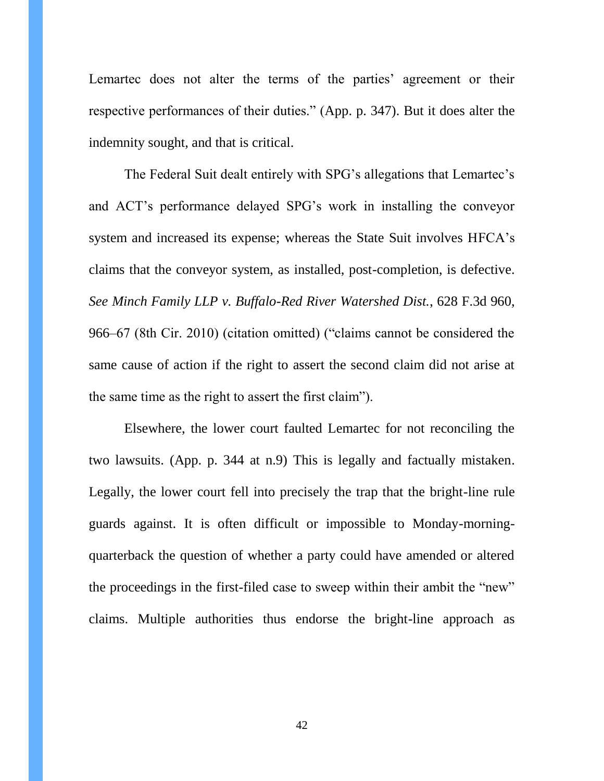Lemartec does not alter the terms of the parties' agreement or their respective performances of their duties." (App. p. 347). But it does alter the indemnity sought, and that is critical.

The Federal Suit dealt entirely with SPG's allegations that Lemartec's and ACT's performance delayed SPG's work in installing the conveyor system and increased its expense; whereas the State Suit involves HFCA's claims that the conveyor system, as installed, post-completion, is defective. *See Minch Family LLP v. Buffalo-Red River Watershed Dist.*, 628 F.3d 960, 966–67 (8th Cir. 2010) (citation omitted) ("claims cannot be considered the same cause of action if the right to assert the second claim did not arise at the same time as the right to assert the first claim").

Elsewhere, the lower court faulted Lemartec for not reconciling the two lawsuits. (App. p. 344 at n.9) This is legally and factually mistaken. Legally, the lower court fell into precisely the trap that the bright-line rule guards against. It is often difficult or impossible to Monday-morningquarterback the question of whether a party could have amended or altered the proceedings in the first-filed case to sweep within their ambit the "new" claims. Multiple authorities thus endorse the bright-line approach as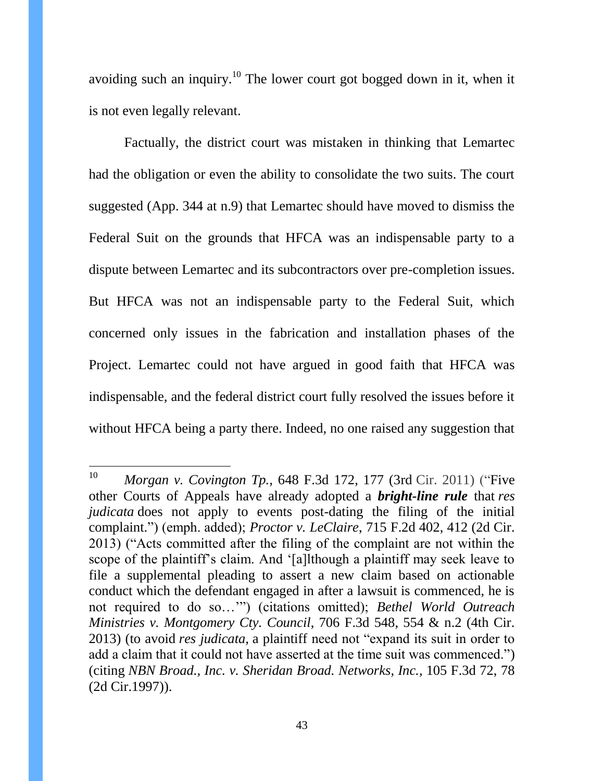avoiding such an inquiry.<sup>10</sup> The lower court got bogged down in it, when it is not even legally relevant.

Factually, the district court was mistaken in thinking that Lemartec had the obligation or even the ability to consolidate the two suits. The court suggested (App. 344 at n.9) that Lemartec should have moved to dismiss the Federal Suit on the grounds that HFCA was an indispensable party to a dispute between Lemartec and its subcontractors over pre-completion issues. But HFCA was not an indispensable party to the Federal Suit, which concerned only issues in the fabrication and installation phases of the Project. Lemartec could not have argued in good faith that HFCA was indispensable, and the federal district court fully resolved the issues before it without HFCA being a party there. Indeed, no one raised any suggestion that

<sup>10</sup> <sup>10</sup> *Morgan v. Covington Tp.,* 648 F.3d 172, 177 (3rd Cir. 2011) ("Five other Courts of Appeals have already adopted a *bright-line rule* that *res judicata* does not apply to events post-dating the filing of the initial complaint.") (emph. added); *Proctor v. LeClaire*, 715 F.2d 402, 412 (2d Cir. 2013) ("Acts committed after the filing of the complaint are not within the scope of the plaintiff's claim. And '[a]lthough a plaintiff may seek leave to file a supplemental pleading to assert a new claim based on actionable conduct which the defendant engaged in after a lawsuit is commenced, he is not required to do so…'") (citations omitted); *Bethel World Outreach Ministries v. Montgomery Cty. Council*, 706 F.3d 548, 554 & n.2 (4th Cir. 2013) (to avoid *res judicata,* a plaintiff need not "expand its suit in order to add a claim that it could not have asserted at the time suit was commenced.") (citing *NBN Broad., Inc. v. Sheridan Broad. Networks, Inc.,* 105 F.3d 72, 78 (2d Cir.1997)).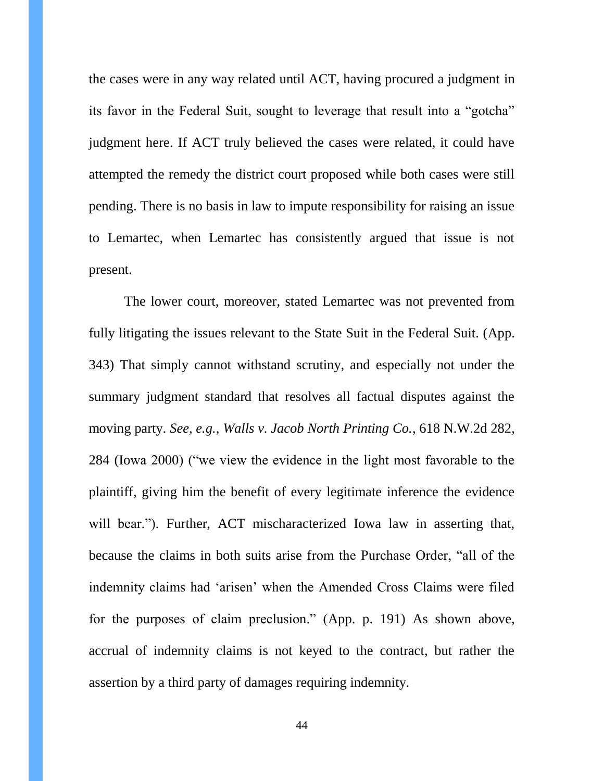the cases were in any way related until ACT, having procured a judgment in its favor in the Federal Suit, sought to leverage that result into a "gotcha" judgment here. If ACT truly believed the cases were related, it could have attempted the remedy the district court proposed while both cases were still pending. There is no basis in law to impute responsibility for raising an issue to Lemartec, when Lemartec has consistently argued that issue is not present.

The lower court, moreover, stated Lemartec was not prevented from fully litigating the issues relevant to the State Suit in the Federal Suit. (App. 343) That simply cannot withstand scrutiny, and especially not under the summary judgment standard that resolves all factual disputes against the moving party. *See, e.g.*, *Walls v. Jacob North Printing Co.*, 618 N.W.2d 282, 284 (Iowa 2000) ("we view the evidence in the light most favorable to the plaintiff, giving him the benefit of every legitimate inference the evidence will bear."). Further, ACT mischaracterized Iowa law in asserting that, because the claims in both suits arise from the Purchase Order, "all of the indemnity claims had 'arisen' when the Amended Cross Claims were filed for the purposes of claim preclusion." (App. p. 191) As shown above, accrual of indemnity claims is not keyed to the contract, but rather the assertion by a third party of damages requiring indemnity.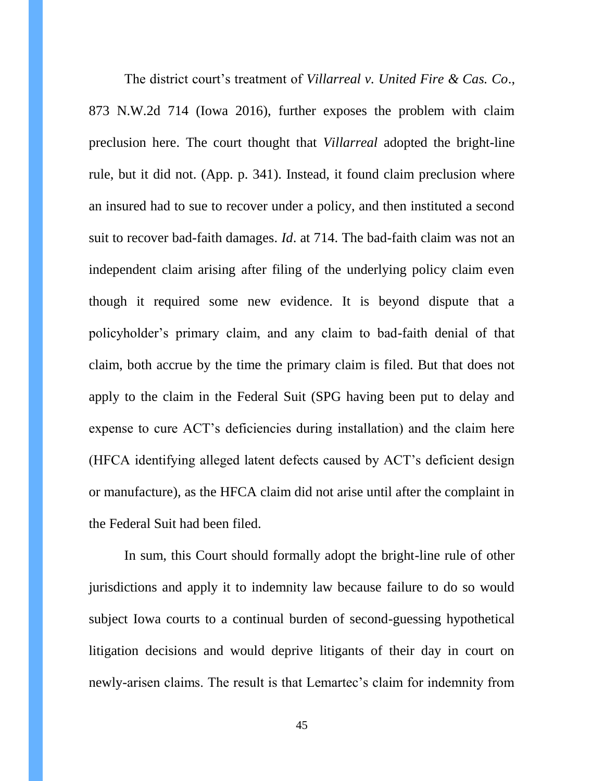The district court's treatment of *Villarreal v. United Fire & Cas. Co*., 873 N.W.2d 714 (Iowa 2016), further exposes the problem with claim preclusion here. The court thought that *Villarreal* adopted the bright-line rule, but it did not. (App. p. 341). Instead, it found claim preclusion where an insured had to sue to recover under a policy, and then instituted a second suit to recover bad-faith damages. *Id*. at 714. The bad-faith claim was not an independent claim arising after filing of the underlying policy claim even though it required some new evidence. It is beyond dispute that a policyholder's primary claim, and any claim to bad-faith denial of that claim, both accrue by the time the primary claim is filed. But that does not apply to the claim in the Federal Suit (SPG having been put to delay and expense to cure ACT's deficiencies during installation) and the claim here (HFCA identifying alleged latent defects caused by ACT's deficient design or manufacture), as the HFCA claim did not arise until after the complaint in the Federal Suit had been filed.

In sum, this Court should formally adopt the bright-line rule of other jurisdictions and apply it to indemnity law because failure to do so would subject Iowa courts to a continual burden of second-guessing hypothetical litigation decisions and would deprive litigants of their day in court on newly-arisen claims. The result is that Lemartec's claim for indemnity from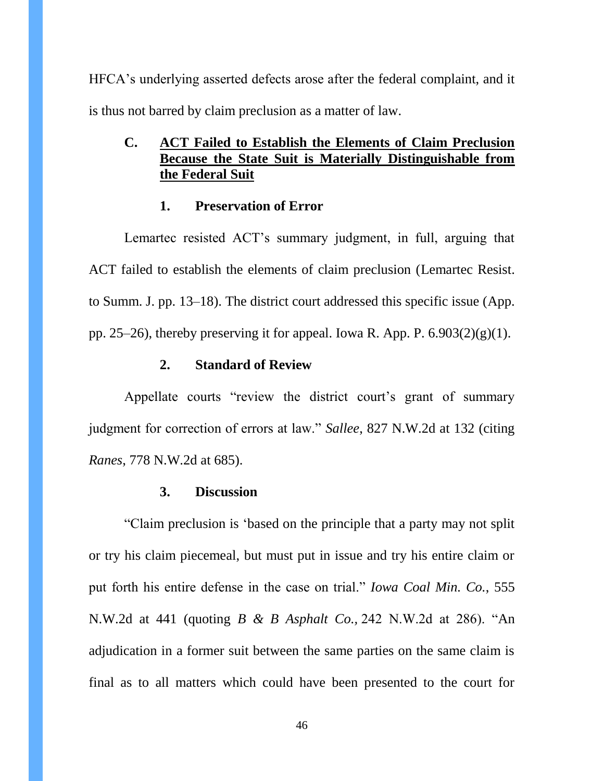HFCA's underlying asserted defects arose after the federal complaint, and it is thus not barred by claim preclusion as a matter of law.

# **C. ACT Failed to Establish the Elements of Claim Preclusion Because the State Suit is Materially Distinguishable from the Federal Suit**

### **1. Preservation of Error**

Lemartec resisted ACT's summary judgment, in full, arguing that ACT failed to establish the elements of claim preclusion (Lemartec Resist. to Summ. J. pp. 13–18). The district court addressed this specific issue (App. pp. 25–26), thereby preserving it for appeal. Iowa R. App. P.  $6.903(2)(g)(1)$ .

### **2. Standard of Review**

Appellate courts "review the district court's grant of summary judgment for correction of errors at law." *Sallee*, 827 N.W.2d at 132 (citing *Ranes*, 778 N.W.2d at 685).

#### **3. Discussion**

"Claim preclusion is 'based on the principle that a party may not split or try his claim piecemeal, but must put in issue and try his entire claim or put forth his entire defense in the case on trial." *Iowa Coal Min. Co.*, 555 N.W.2d at 441 (quoting *B & B Asphalt Co.,* 242 N.W.2d at 286). "An adjudication in a former suit between the same parties on the same claim is final as to all matters which could have been presented to the court for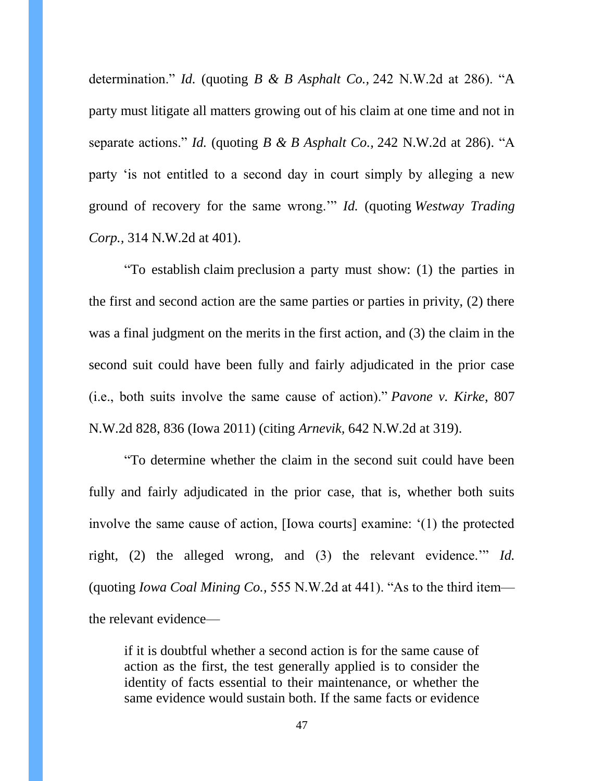determination." *Id.* (quoting *B & B Asphalt Co.,* 242 N.W.2d at 286). "A party must litigate all matters growing out of his claim at one time and not in separate actions." *Id.* (quoting *B & B Asphalt Co.,* 242 N.W.2d at 286). "A party 'is not entitled to a second day in court simply by alleging a new ground of recovery for the same wrong.'" *Id.* (quoting *Westway Trading Corp.,* 314 N.W.2d at 401).

"To establish claim preclusion a party must show: (1) the parties in the first and second action are the same parties or parties in privity, (2) there was a final judgment on the merits in the first action, and (3) the claim in the second suit could have been fully and fairly adjudicated in the prior case (i.e., both suits involve the same cause of action)." *Pavone v. Kirke*, 807 N.W.2d 828, 836 (Iowa 2011) (citing *Arnevik,* 642 N.W.2d at 319).

"To determine whether the claim in the second suit could have been fully and fairly adjudicated in the prior case, that is, whether both suits involve the same cause of action, [Iowa courts] examine: '(1) the protected right, (2) the alleged wrong, and (3) the relevant evidence.'" *Id.* (quoting *Iowa Coal Mining Co.,* 555 N.W.2d at 441). "As to the third item the relevant evidence—

if it is doubtful whether a second action is for the same cause of action as the first, the test generally applied is to consider the identity of facts essential to their maintenance, or whether the same evidence would sustain both. If the same facts or evidence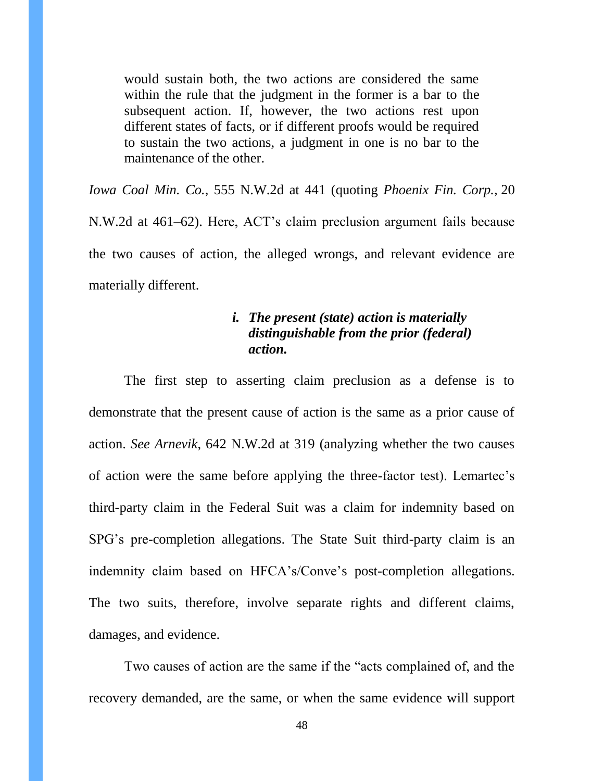would sustain both, the two actions are considered the same within the rule that the judgment in the former is a bar to the subsequent action. If, however, the two actions rest upon different states of facts, or if different proofs would be required to sustain the two actions, a judgment in one is no bar to the maintenance of the other.

*Iowa Coal Min. Co.*, 555 N.W.2d at 441 (quoting *Phoenix Fin. Corp.,* 20 N.W.2d at 461–62). Here, ACT's claim preclusion argument fails because the two causes of action, the alleged wrongs, and relevant evidence are materially different.

## *i. The present (state) action is materially distinguishable from the prior (federal) action.*

The first step to asserting claim preclusion as a defense is to demonstrate that the present cause of action is the same as a prior cause of action. *See Arnevik*, 642 N.W.2d at 319 (analyzing whether the two causes of action were the same before applying the three-factor test). Lemartec's third-party claim in the Federal Suit was a claim for indemnity based on SPG's pre-completion allegations. The State Suit third-party claim is an indemnity claim based on HFCA's/Conve's post-completion allegations. The two suits, therefore, involve separate rights and different claims, damages, and evidence.

Two causes of action are the same if the "acts complained of, and the recovery demanded, are the same, or when the same evidence will support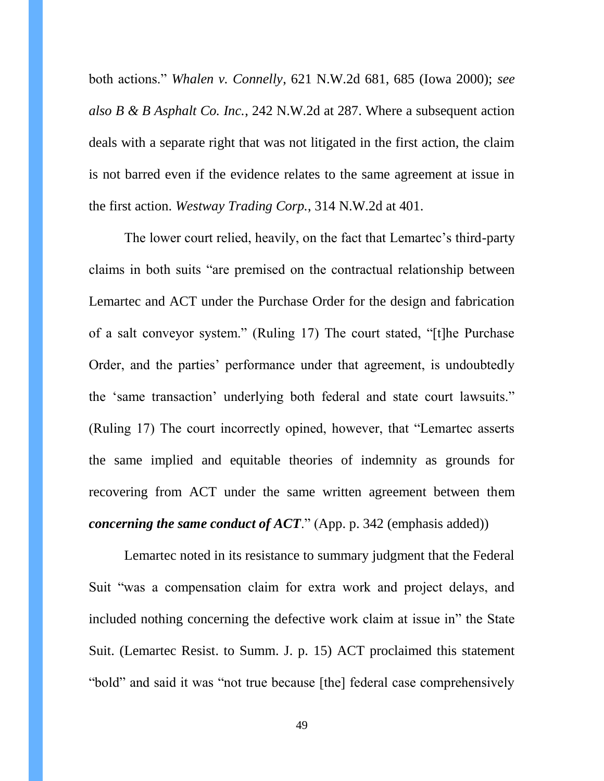both actions." *Whalen v. Connelly*, 621 N.W.2d 681, 685 (Iowa 2000); *see also B & B Asphalt Co. Inc.*, 242 N.W.2d at 287. Where a subsequent action deals with a separate right that was not litigated in the first action, the claim is not barred even if the evidence relates to the same agreement at issue in the first action. *Westway Trading Corp.*, 314 N.W.2d at 401.

The lower court relied, heavily, on the fact that Lemartec's third-party claims in both suits "are premised on the contractual relationship between Lemartec and ACT under the Purchase Order for the design and fabrication of a salt conveyor system." (Ruling 17) The court stated, "[t]he Purchase Order, and the parties' performance under that agreement, is undoubtedly the 'same transaction' underlying both federal and state court lawsuits." (Ruling 17) The court incorrectly opined, however, that "Lemartec asserts the same implied and equitable theories of indemnity as grounds for recovering from ACT under the same written agreement between them *concerning the same conduct of ACT*." (App. p. 342 (emphasis added))

Lemartec noted in its resistance to summary judgment that the Federal Suit "was a compensation claim for extra work and project delays, and included nothing concerning the defective work claim at issue in" the State Suit. (Lemartec Resist. to Summ. J. p. 15) ACT proclaimed this statement "bold" and said it was "not true because [the] federal case comprehensively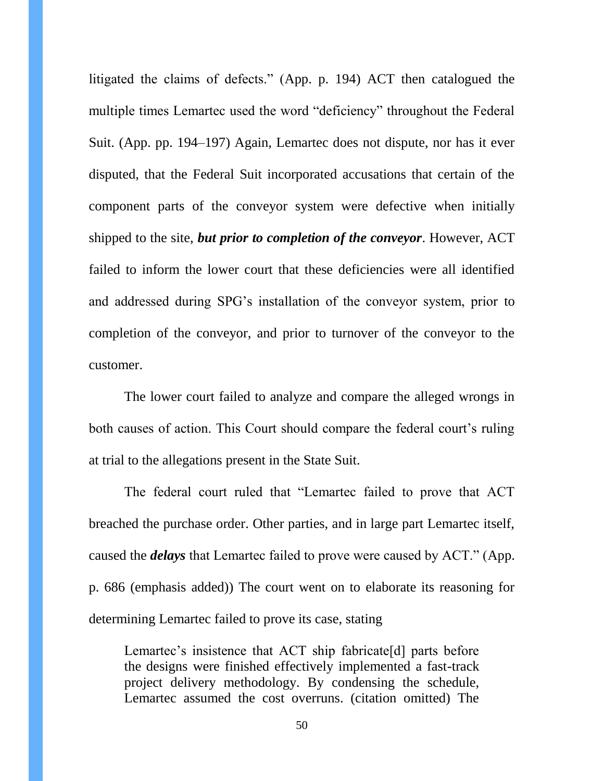litigated the claims of defects." (App. p. 194) ACT then catalogued the multiple times Lemartec used the word "deficiency" throughout the Federal Suit. (App. pp. 194–197) Again, Lemartec does not dispute, nor has it ever disputed, that the Federal Suit incorporated accusations that certain of the component parts of the conveyor system were defective when initially shipped to the site, *but prior to completion of the conveyor*. However, ACT failed to inform the lower court that these deficiencies were all identified and addressed during SPG's installation of the conveyor system, prior to completion of the conveyor, and prior to turnover of the conveyor to the customer.

The lower court failed to analyze and compare the alleged wrongs in both causes of action. This Court should compare the federal court's ruling at trial to the allegations present in the State Suit.

The federal court ruled that "Lemartec failed to prove that ACT breached the purchase order. Other parties, and in large part Lemartec itself, caused the *delays* that Lemartec failed to prove were caused by ACT." (App. p. 686 (emphasis added)) The court went on to elaborate its reasoning for determining Lemartec failed to prove its case, stating

Lemartec's insistence that ACT ship fabricate[d] parts before the designs were finished effectively implemented a fast-track project delivery methodology. By condensing the schedule, Lemartec assumed the cost overruns. (citation omitted) The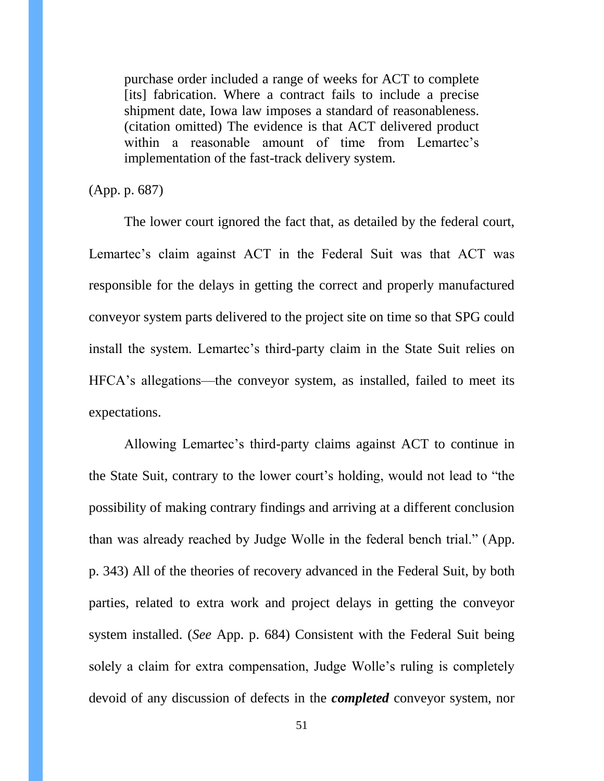purchase order included a range of weeks for ACT to complete [its] fabrication. Where a contract fails to include a precise shipment date, Iowa law imposes a standard of reasonableness. (citation omitted) The evidence is that ACT delivered product within a reasonable amount of time from Lemartec's implementation of the fast-track delivery system.

### (App. p. 687)

The lower court ignored the fact that, as detailed by the federal court, Lemartec's claim against ACT in the Federal Suit was that ACT was responsible for the delays in getting the correct and properly manufactured conveyor system parts delivered to the project site on time so that SPG could install the system. Lemartec's third-party claim in the State Suit relies on HFCA's allegations—the conveyor system, as installed, failed to meet its expectations.

Allowing Lemartec's third-party claims against ACT to continue in the State Suit, contrary to the lower court's holding, would not lead to "the possibility of making contrary findings and arriving at a different conclusion than was already reached by Judge Wolle in the federal bench trial." (App. p. 343) All of the theories of recovery advanced in the Federal Suit, by both parties, related to extra work and project delays in getting the conveyor system installed. (*See* App. p. 684) Consistent with the Federal Suit being solely a claim for extra compensation, Judge Wolle's ruling is completely devoid of any discussion of defects in the *completed* conveyor system, nor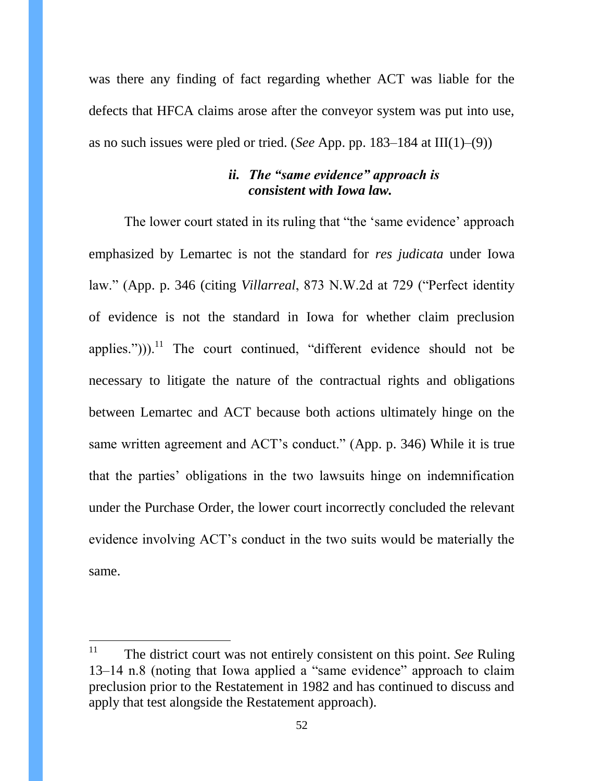was there any finding of fact regarding whether ACT was liable for the defects that HFCA claims arose after the conveyor system was put into use, as no such issues were pled or tried. (*See* App. pp. 183–184 at III(1)–(9))

### *ii. The "same evidence" approach is consistent with Iowa law.*

The lower court stated in its ruling that "the 'same evidence' approach emphasized by Lemartec is not the standard for *res judicata* under Iowa law." (App. p. 346 (citing *Villarreal*, 873 N.W.2d at 729 ("Perfect identity of evidence is not the standard in Iowa for whether claim preclusion applies."))). $^{11}$  The court continued, "different evidence should not be necessary to litigate the nature of the contractual rights and obligations between Lemartec and ACT because both actions ultimately hinge on the same written agreement and ACT's conduct." (App. p. 346) While it is true that the parties' obligations in the two lawsuits hinge on indemnification under the Purchase Order, the lower court incorrectly concluded the relevant evidence involving ACT's conduct in the two suits would be materially the same.

<sup>11</sup> The district court was not entirely consistent on this point. *See* Ruling 13–14 n.8 (noting that Iowa applied a "same evidence" approach to claim preclusion prior to the Restatement in 1982 and has continued to discuss and apply that test alongside the Restatement approach).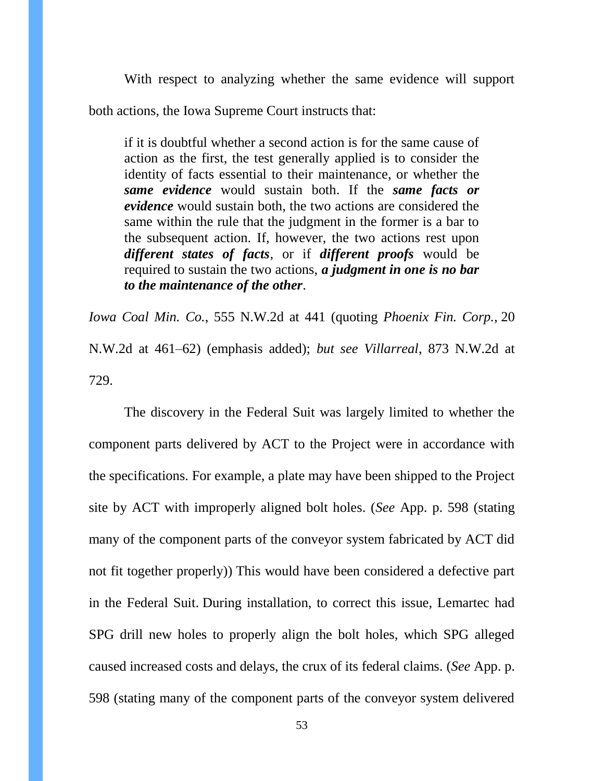With respect to analyzing whether the same evidence will support both actions, the Iowa Supreme Court instructs that:

if it is doubtful whether a second action is for the same cause of action as the first, the test generally applied is to consider the identity of facts essential to their maintenance, or whether the *same evidence* would sustain both. If the *same facts or evidence* would sustain both, the two actions are considered the same within the rule that the judgment in the former is a bar to the subsequent action. If, however, the two actions rest upon *different states of facts*, or if *different proofs* would be required to sustain the two actions, *a judgment in one is no bar to the maintenance of the other*.

*Iowa Coal Min. Co.*, 555 N.W.2d at 441 (quoting *Phoenix Fin. Corp.,* 20 N.W.2d at 461–62) (emphasis added); *but see Villarreal*, 873 N.W.2d at 729.

The discovery in the Federal Suit was largely limited to whether the component parts delivered by ACT to the Project were in accordance with the specifications. For example, a plate may have been shipped to the Project site by ACT with improperly aligned bolt holes. (*See* App. p. 598 (stating many of the component parts of the conveyor system fabricated by ACT did not fit together properly)) This would have been considered a defective part in the Federal Suit. During installation, to correct this issue, Lemartec had SPG drill new holes to properly align the bolt holes, which SPG alleged caused increased costs and delays, the crux of its federal claims. (*See* App. p. 598 (stating many of the component parts of the conveyor system delivered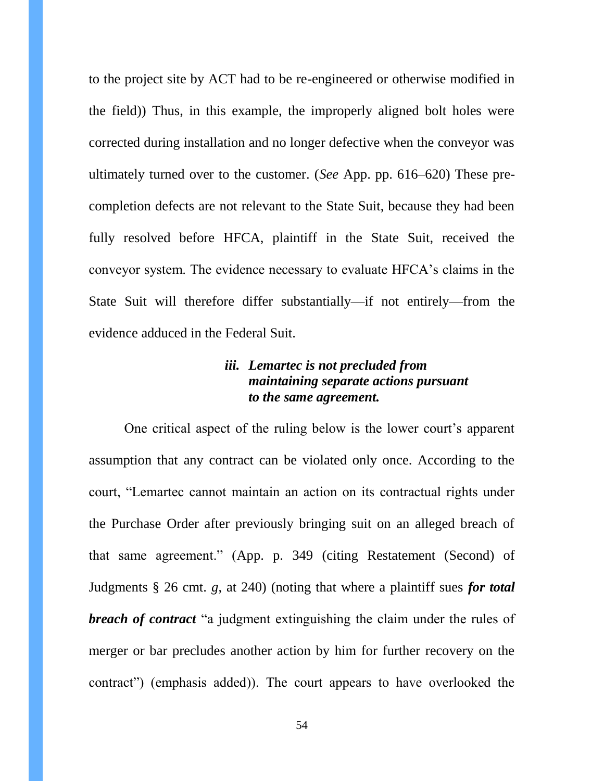to the project site by ACT had to be re-engineered or otherwise modified in the field)) Thus, in this example, the improperly aligned bolt holes were corrected during installation and no longer defective when the conveyor was ultimately turned over to the customer. (*See* App. pp. 616–620) These precompletion defects are not relevant to the State Suit, because they had been fully resolved before HFCA, plaintiff in the State Suit, received the conveyor system. The evidence necessary to evaluate HFCA's claims in the State Suit will therefore differ substantially—if not entirely—from the evidence adduced in the Federal Suit.

## *iii. Lemartec is not precluded from maintaining separate actions pursuant to the same agreement.*

One critical aspect of the ruling below is the lower court's apparent assumption that any contract can be violated only once. According to the court, "Lemartec cannot maintain an action on its contractual rights under the Purchase Order after previously bringing suit on an alleged breach of that same agreement." (App. p. 349 (citing Restatement (Second) of Judgments § 26 cmt. *g*, at 240) (noting that where a plaintiff sues *for total breach of contract* "a judgment extinguishing the claim under the rules of merger or bar precludes another action by him for further recovery on the contract") (emphasis added)). The court appears to have overlooked the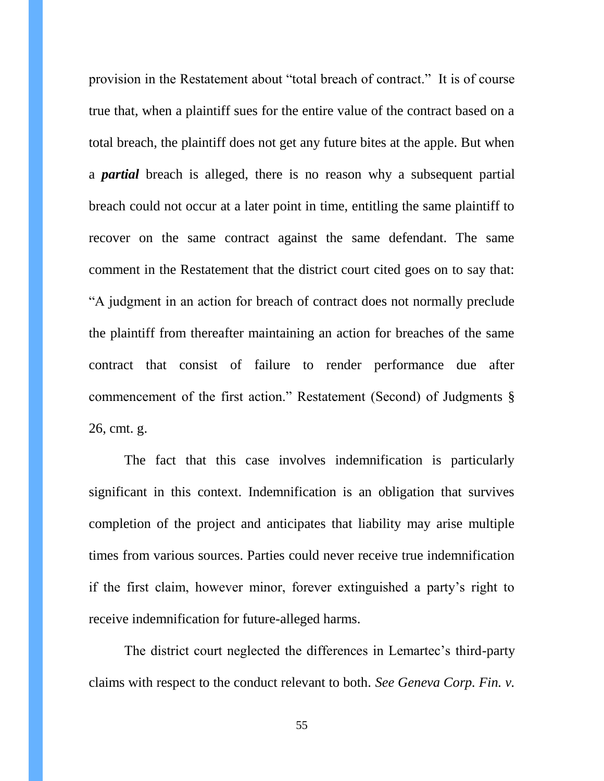provision in the Restatement about "total breach of contract." It is of course true that, when a plaintiff sues for the entire value of the contract based on a total breach, the plaintiff does not get any future bites at the apple. But when a *partial* breach is alleged, there is no reason why a subsequent partial breach could not occur at a later point in time, entitling the same plaintiff to recover on the same contract against the same defendant. The same comment in the Restatement that the district court cited goes on to say that: "A judgment in an action for breach of contract does not normally preclude the plaintiff from thereafter maintaining an action for breaches of the same contract that consist of failure to render performance due after commencement of the first action." Restatement (Second) of Judgments § 26, cmt. g.

The fact that this case involves indemnification is particularly significant in this context. Indemnification is an obligation that survives completion of the project and anticipates that liability may arise multiple times from various sources. Parties could never receive true indemnification if the first claim, however minor, forever extinguished a party's right to receive indemnification for future-alleged harms.

The district court neglected the differences in Lemartec's third-party claims with respect to the conduct relevant to both. *See Geneva Corp. Fin. v.* 

55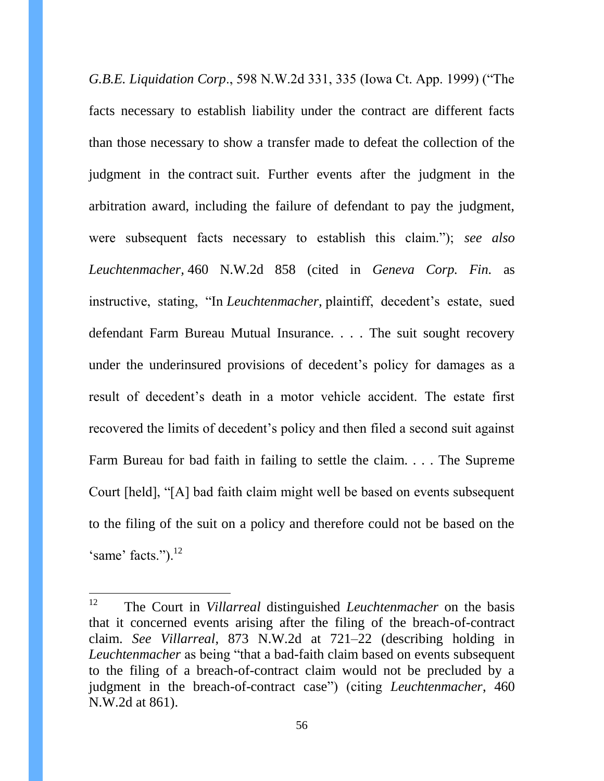*G.B.E. Liquidation Corp*., 598 N.W.2d 331, 335 (Iowa Ct. App. 1999) ("The facts necessary to establish liability under the contract are different facts than those necessary to show a transfer made to defeat the collection of the judgment in the contract suit. Further events after the judgment in the arbitration award, including the failure of defendant to pay the judgment, were subsequent facts necessary to establish this claim."); *see also Leuchtenmacher,* 460 N.W.2d 858 (cited in *Geneva Corp. Fin.* as instructive, stating, "In *Leuchtenmacher,* plaintiff, decedent's estate, sued defendant Farm Bureau Mutual Insurance. . . . The suit sought recovery under the underinsured provisions of decedent's policy for damages as a result of decedent's death in a motor vehicle accident. The estate first recovered the limits of decedent's policy and then filed a second suit against Farm Bureau for bad faith in failing to settle the claim. . . . The Supreme Court [held], "[A] bad faith claim might well be based on events subsequent to the filing of the suit on a policy and therefore could not be based on the 'same' facts."). $^{12}$ 

<sup>12</sup> <sup>12</sup> The Court in *Villarreal* distinguished *Leuchtenmacher* on the basis that it concerned events arising after the filing of the breach-of-contract claim. *See Villarreal*, 873 N.W.2d at 721–22 (describing holding in *Leuchtenmacher* as being "that a bad-faith claim based on events subsequent to the filing of a breach-of-contract claim would not be precluded by a judgment in the breach-of-contract case") (citing *Leuchtenmacher*, 460 N.W.2d at 861).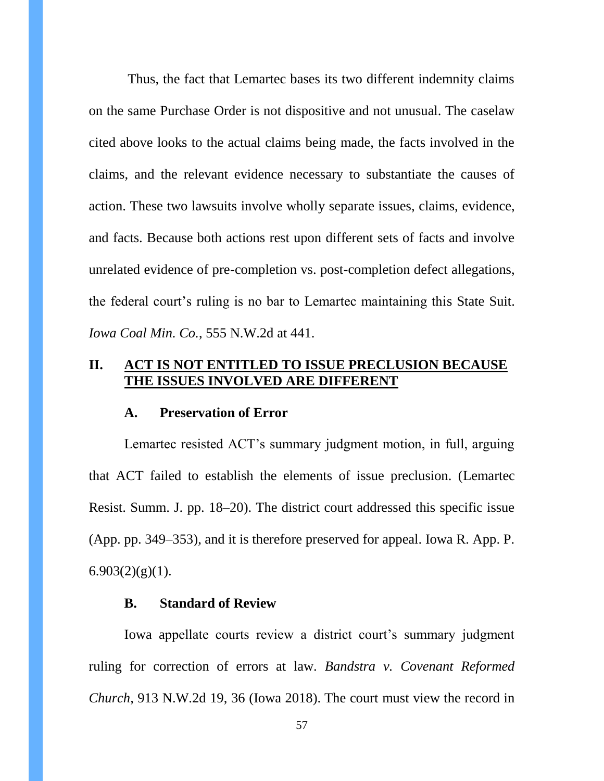Thus, the fact that Lemartec bases its two different indemnity claims on the same Purchase Order is not dispositive and not unusual. The caselaw cited above looks to the actual claims being made, the facts involved in the claims, and the relevant evidence necessary to substantiate the causes of action. These two lawsuits involve wholly separate issues, claims, evidence, and facts. Because both actions rest upon different sets of facts and involve unrelated evidence of pre-completion vs. post-completion defect allegations, the federal court's ruling is no bar to Lemartec maintaining this State Suit. *Iowa Coal Min. Co.*, 555 N.W.2d at 441.

# **II. ACT IS NOT ENTITLED TO ISSUE PRECLUSION BECAUSE THE ISSUES INVOLVED ARE DIFFERENT**

#### **A. Preservation of Error**

Lemartec resisted ACT's summary judgment motion, in full, arguing that ACT failed to establish the elements of issue preclusion. (Lemartec Resist. Summ. J. pp. 18–20). The district court addressed this specific issue (App. pp. 349–353), and it is therefore preserved for appeal. Iowa R. App. P.  $6.903(2)(g)(1)$ .

### **B. Standard of Review**

Iowa appellate courts review a district court's summary judgment ruling for correction of errors at law. *Bandstra v. Covenant Reformed Church*, 913 N.W.2d 19, 36 (Iowa 2018). The court must view the record in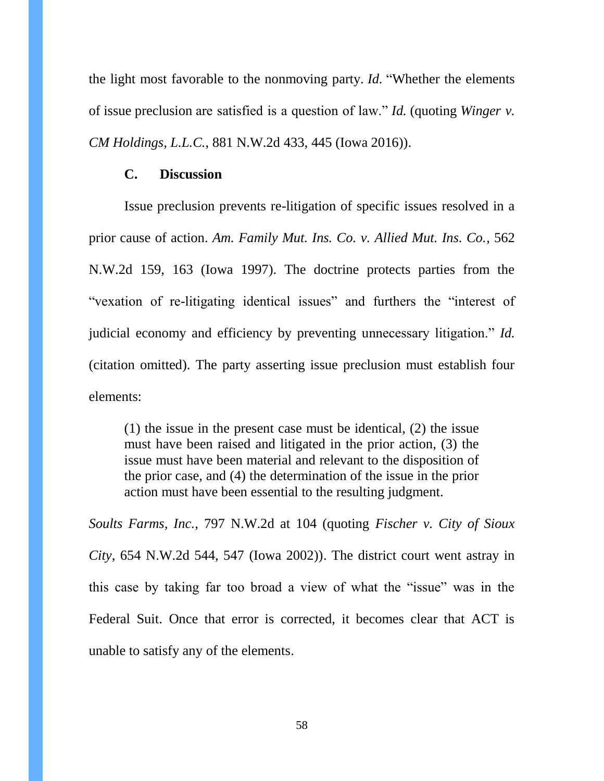the light most favorable to the nonmoving party. *Id.* "Whether the elements of issue preclusion are satisfied is a question of law." *Id.* (quoting *Winger v. CM Holdings, L.L.C.*, 881 N.W.2d 433, 445 (Iowa 2016)).

### **C. Discussion**

Issue preclusion prevents re-litigation of specific issues resolved in a prior cause of action. *Am. Family Mut. Ins. Co. v. Allied Mut. Ins. Co.*, 562 N.W.2d 159, 163 (Iowa 1997). The doctrine protects parties from the "vexation of re-litigating identical issues" and furthers the "interest of judicial economy and efficiency by preventing unnecessary litigation." *Id.* (citation omitted). The party asserting issue preclusion must establish four elements:

(1) the issue in the present case must be identical, (2) the issue must have been raised and litigated in the prior action, (3) the issue must have been material and relevant to the disposition of the prior case, and (4) the determination of the issue in the prior action must have been essential to the resulting judgment.

*Soults Farms, Inc.*, 797 N.W.2d at 104 (quoting *Fischer v. City of Sioux City*, 654 N.W.2d 544, 547 (Iowa 2002)). The district court went astray in this case by taking far too broad a view of what the "issue" was in the Federal Suit. Once that error is corrected, it becomes clear that ACT is unable to satisfy any of the elements.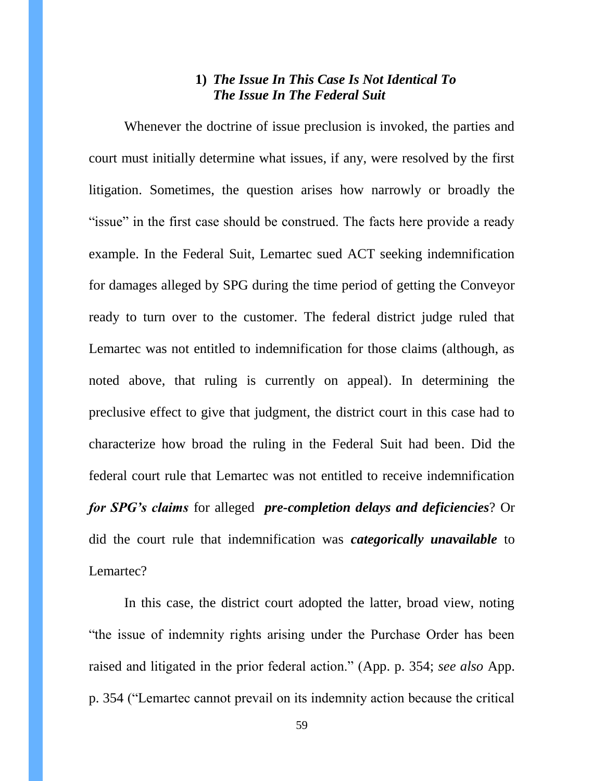### **1)** *The Issue In This Case Is Not Identical To The Issue In The Federal Suit*

Whenever the doctrine of issue preclusion is invoked, the parties and court must initially determine what issues, if any, were resolved by the first litigation. Sometimes, the question arises how narrowly or broadly the "issue" in the first case should be construed. The facts here provide a ready example. In the Federal Suit, Lemartec sued ACT seeking indemnification for damages alleged by SPG during the time period of getting the Conveyor ready to turn over to the customer. The federal district judge ruled that Lemartec was not entitled to indemnification for those claims (although, as noted above, that ruling is currently on appeal). In determining the preclusive effect to give that judgment, the district court in this case had to characterize how broad the ruling in the Federal Suit had been. Did the federal court rule that Lemartec was not entitled to receive indemnification *for SPG's claims* for alleged *pre-completion delays and deficiencies*? Or did the court rule that indemnification was *categorically unavailable* to Lemartec?

In this case, the district court adopted the latter, broad view, noting "the issue of indemnity rights arising under the Purchase Order has been raised and litigated in the prior federal action." (App. p. 354; *see also* App. p. 354 ("Lemartec cannot prevail on its indemnity action because the critical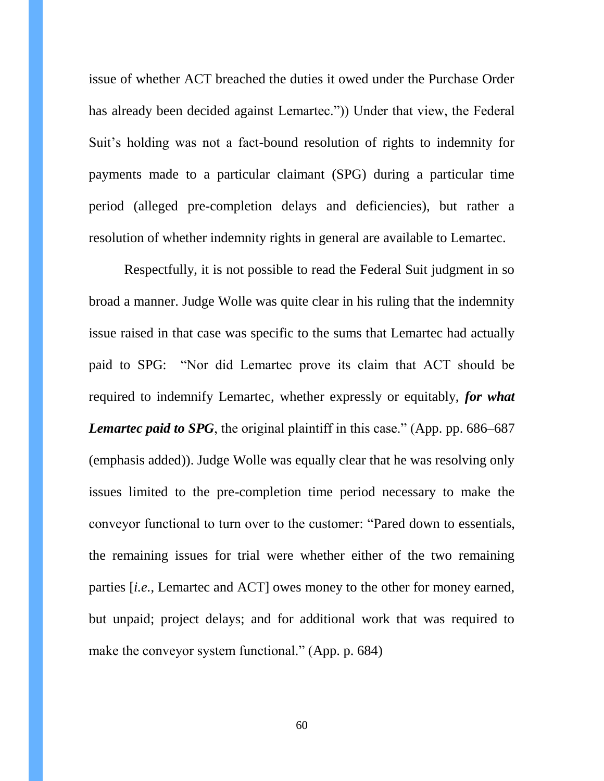issue of whether ACT breached the duties it owed under the Purchase Order has already been decided against Lemartec.")) Under that view, the Federal Suit's holding was not a fact-bound resolution of rights to indemnity for payments made to a particular claimant (SPG) during a particular time period (alleged pre-completion delays and deficiencies), but rather a resolution of whether indemnity rights in general are available to Lemartec.

Respectfully, it is not possible to read the Federal Suit judgment in so broad a manner. Judge Wolle was quite clear in his ruling that the indemnity issue raised in that case was specific to the sums that Lemartec had actually paid to SPG: "Nor did Lemartec prove its claim that ACT should be required to indemnify Lemartec, whether expressly or equitably, *for what Lemartec paid to SPG*, the original plaintiff in this case." (App. pp. 686–687) (emphasis added)). Judge Wolle was equally clear that he was resolving only issues limited to the pre-completion time period necessary to make the conveyor functional to turn over to the customer: "Pared down to essentials, the remaining issues for trial were whether either of the two remaining parties [*i.e.*, Lemartec and ACT] owes money to the other for money earned, but unpaid; project delays; and for additional work that was required to make the conveyor system functional." (App. p. 684)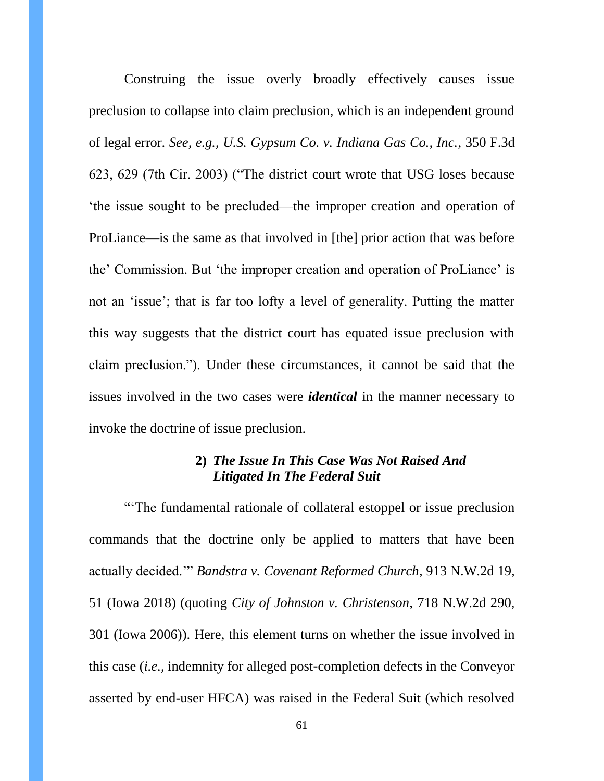Construing the issue overly broadly effectively causes issue preclusion to collapse into claim preclusion, which is an independent ground of legal error. *See, e.g.*, *U.S. Gypsum Co. v. Indiana Gas Co., Inc.*, 350 F.3d 623, 629 (7th Cir. 2003) ("The district court wrote that USG loses because 'the issue sought to be precluded—the improper creation and operation of ProLiance—is the same as that involved in [the] prior action that was before the' Commission. But 'the improper creation and operation of ProLiance' is not an 'issue'; that is far too lofty a level of generality. Putting the matter this way suggests that the district court has equated issue preclusion with claim preclusion."). Under these circumstances, it cannot be said that the issues involved in the two cases were *identical* in the manner necessary to invoke the doctrine of issue preclusion.

### **2)** *The Issue In This Case Was Not Raised And Litigated In The Federal Suit*

"'The fundamental rationale of collateral estoppel or issue preclusion commands that the doctrine only be applied to matters that have been actually decided.'" *Bandstra v. Covenant Reformed Church*, 913 N.W.2d 19, 51 (Iowa 2018) (quoting *City of Johnston v. Christenson*, 718 N.W.2d 290, 301 (Iowa 2006)). Here, this element turns on whether the issue involved in this case (*i.e.*, indemnity for alleged post-completion defects in the Conveyor asserted by end-user HFCA) was raised in the Federal Suit (which resolved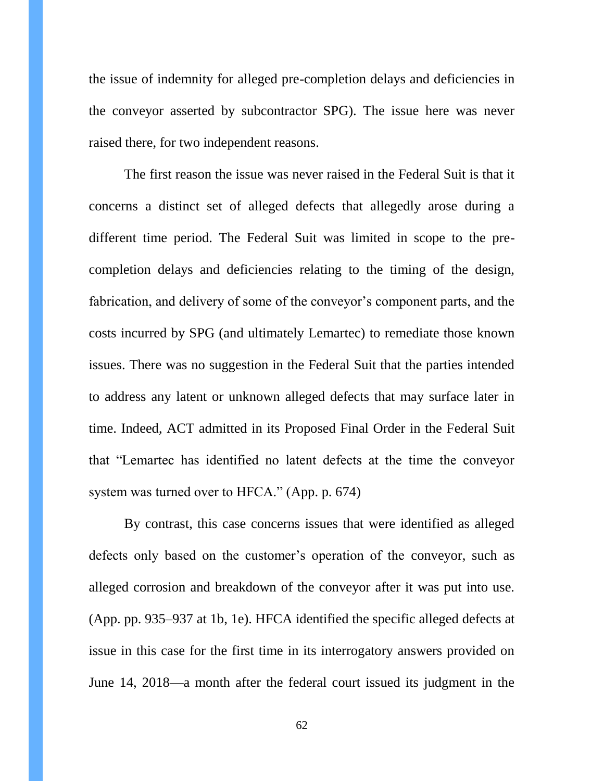the issue of indemnity for alleged pre-completion delays and deficiencies in the conveyor asserted by subcontractor SPG). The issue here was never raised there, for two independent reasons.

The first reason the issue was never raised in the Federal Suit is that it concerns a distinct set of alleged defects that allegedly arose during a different time period. The Federal Suit was limited in scope to the precompletion delays and deficiencies relating to the timing of the design, fabrication, and delivery of some of the conveyor's component parts, and the costs incurred by SPG (and ultimately Lemartec) to remediate those known issues. There was no suggestion in the Federal Suit that the parties intended to address any latent or unknown alleged defects that may surface later in time. Indeed, ACT admitted in its Proposed Final Order in the Federal Suit that "Lemartec has identified no latent defects at the time the conveyor system was turned over to HFCA." (App. p. 674)

By contrast, this case concerns issues that were identified as alleged defects only based on the customer's operation of the conveyor, such as alleged corrosion and breakdown of the conveyor after it was put into use. (App. pp. 935–937 at 1b, 1e). HFCA identified the specific alleged defects at issue in this case for the first time in its interrogatory answers provided on June 14, 2018—a month after the federal court issued its judgment in the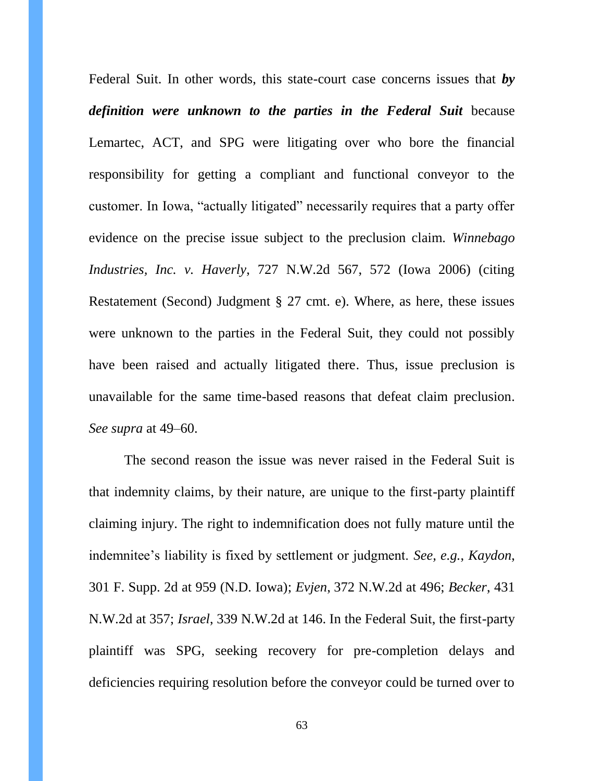Federal Suit. In other words, this state-court case concerns issues that *by definition were unknown to the parties in the Federal Suit* because Lemartec, ACT, and SPG were litigating over who bore the financial responsibility for getting a compliant and functional conveyor to the customer. In Iowa, "actually litigated" necessarily requires that a party offer evidence on the precise issue subject to the preclusion claim. *Winnebago Industries, Inc. v. Haverly*, 727 N.W.2d 567, 572 (Iowa 2006) (citing Restatement (Second) Judgment § 27 cmt. e). Where, as here, these issues were unknown to the parties in the Federal Suit, they could not possibly have been raised and actually litigated there. Thus, issue preclusion is unavailable for the same time-based reasons that defeat claim preclusion. *See supra* at 49–60.

The second reason the issue was never raised in the Federal Suit is that indemnity claims, by their nature, are unique to the first-party plaintiff claiming injury. The right to indemnification does not fully mature until the indemnitee's liability is fixed by settlement or judgment. *See, e.g.*, *Kaydon*, 301 F. Supp. 2d at 959 (N.D. Iowa); *Evjen*, 372 N.W.2d at 496; *Becker*, 431 N.W.2d at 357; *Israel*, 339 N.W.2d at 146. In the Federal Suit, the first-party plaintiff was SPG, seeking recovery for pre-completion delays and deficiencies requiring resolution before the conveyor could be turned over to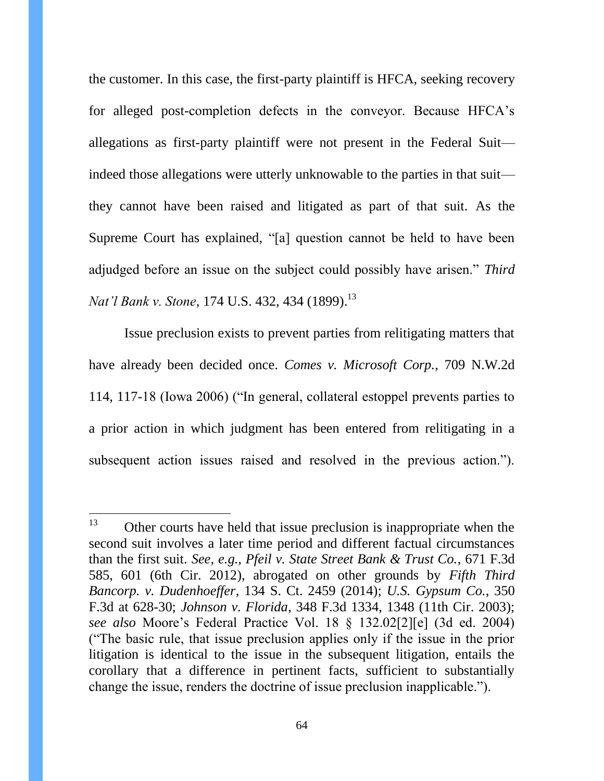the customer. In this case, the first-party plaintiff is HFCA, seeking recovery for alleged post-completion defects in the conveyor. Because HFCA's allegations as first-party plaintiff were not present in the Federal Suit indeed those allegations were utterly unknowable to the parties in that suit they cannot have been raised and litigated as part of that suit. As the Supreme Court has explained, "[a] question cannot be held to have been adjudged before an issue on the subject could possibly have arisen." *Third Nat'l Bank v. Stone*, 174 U.S. 432, 434 (1899).<sup>13</sup>

Issue preclusion exists to prevent parties from relitigating matters that have already been decided once. *Comes v. Microsoft Corp.*, 709 N.W.2d 114, 117-18 (Iowa 2006) ("In general, collateral estoppel prevents parties to a prior action in which judgment has been entered from relitigating in a subsequent action issues raised and resolved in the previous action.").

<sup>13</sup> <sup>13</sup> Other courts have held that issue preclusion is inappropriate when the second suit involves a later time period and different factual circumstances than the first suit. *See, e.g., Pfeil v. State Street Bank & Trust Co.*, 671 F.3d 585, 601 (6th Cir. 2012), abrogated on other grounds by *Fifth Third Bancorp. v. Dudenhoeffer*, 134 S. Ct. 2459 (2014); *U.S. Gypsum Co.*, 350 F.3d at 628-30; *Johnson v. Florida*, 348 F.3d 1334, 1348 (11th Cir. 2003); *see also* Moore's Federal Practice Vol. 18 § 132.02[2][e] (3d ed. 2004) ("The basic rule, that issue preclusion applies only if the issue in the prior litigation is identical to the issue in the subsequent litigation, entails the corollary that a difference in pertinent facts, sufficient to substantially change the issue, renders the doctrine of issue preclusion inapplicable.").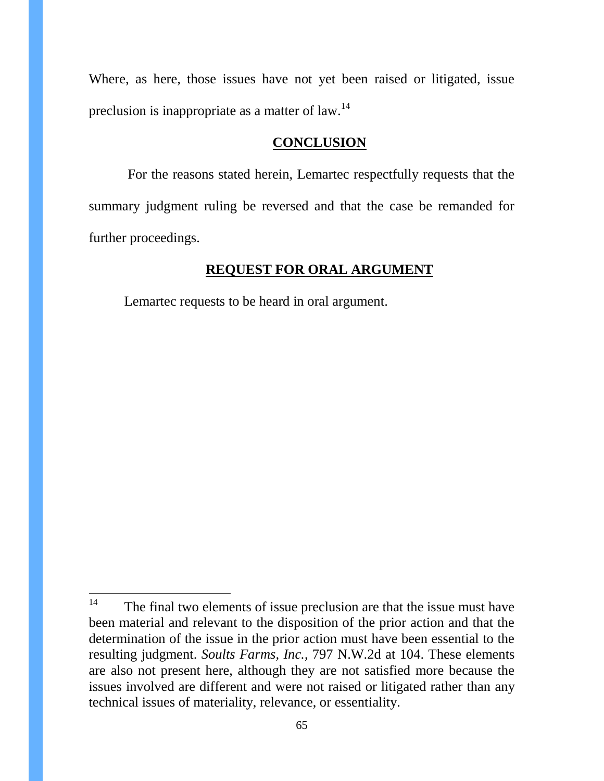Where, as here, those issues have not yet been raised or litigated, issue preclusion is inappropriate as a matter of law.<sup>14</sup>

### **CONCLUSION**

For the reasons stated herein, Lemartec respectfully requests that the summary judgment ruling be reversed and that the case be remanded for further proceedings.

### **REQUEST FOR ORAL ARGUMENT**

Lemartec requests to be heard in oral argument.

 $14$ The final two elements of issue preclusion are that the issue must have been material and relevant to the disposition of the prior action and that the determination of the issue in the prior action must have been essential to the resulting judgment. *Soults Farms, Inc.*, 797 N.W.2d at 104. These elements are also not present here, although they are not satisfied more because the issues involved are different and were not raised or litigated rather than any technical issues of materiality, relevance, or essentiality.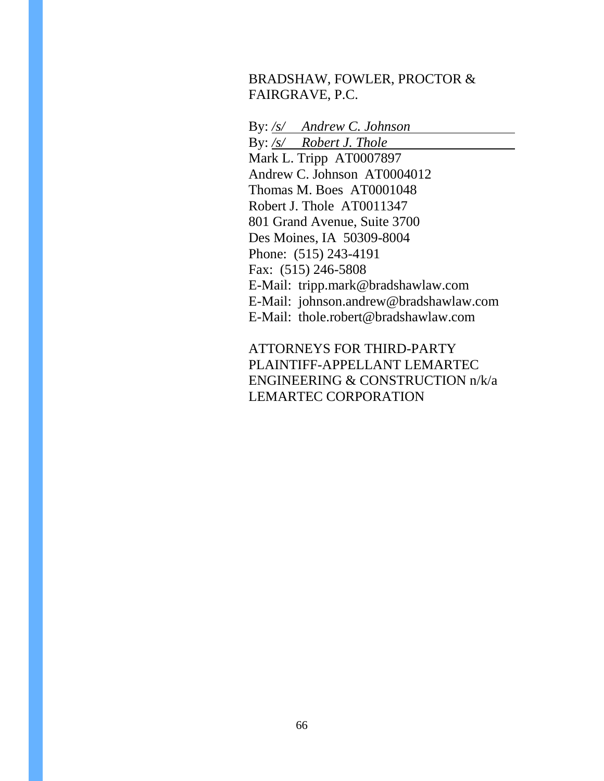# BRADSHAW, FOWLER, PROCTOR & FAIRGRAVE, P.C.

By: */s/ Andrew C. Johnson* By: */s/ Robert J. Thole* Mark L. Tripp AT0007897 Andrew C. Johnson AT0004012 Thomas M. Boes AT0001048 Robert J. Thole AT0011347 801 Grand Avenue, Suite 3700 Des Moines, IA 50309-8004 Phone: (515) 243-4191 Fax: (515) 246-5808 E-Mail: tripp.mark@bradshawlaw.com E-Mail: johnson.andrew@bradshawlaw.com E-Mail: thole.robert@bradshawlaw.com

ATTORNEYS FOR THIRD-PARTY PLAINTIFF-APPELLANT LEMARTEC ENGINEERING & CONSTRUCTION n/k/a LEMARTEC CORPORATION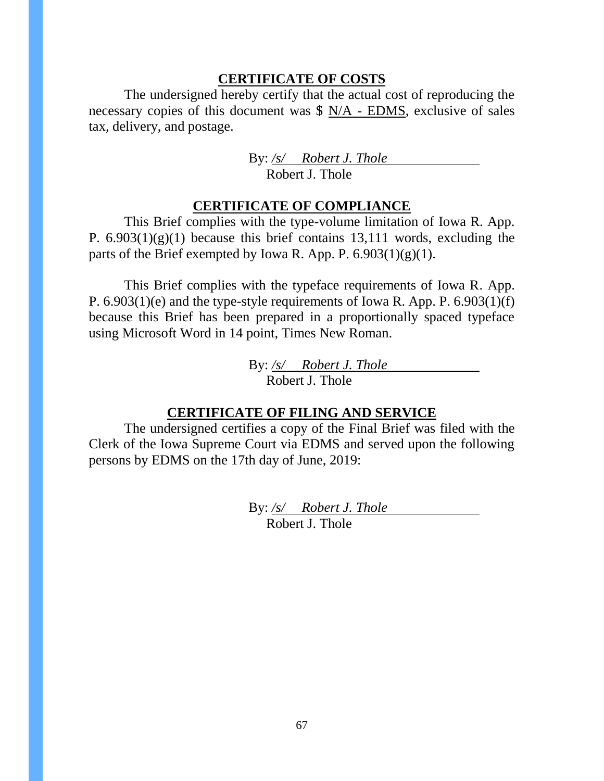### **CERTIFICATE OF COSTS**

The undersigned hereby certify that the actual cost of reproducing the necessary copies of this document was  $\frac{N}{A}$  - EDMS, exclusive of sales tax, delivery, and postage.

By: */s/ Robert J. Thole*

Robert J. Thole

# **CERTIFICATE OF COMPLIANCE**

This Brief complies with the type-volume limitation of Iowa R. App. P.  $6.903(1)(g)(1)$  because this brief contains 13,111 words, excluding the parts of the Brief exempted by Iowa R. App. P.  $6.903(1)(g)(1)$ .

This Brief complies with the typeface requirements of Iowa R. App. P. 6.903(1)(e) and the type-style requirements of Iowa R. App. P. 6.903(1)(f) because this Brief has been prepared in a proportionally spaced typeface using Microsoft Word in 14 point, Times New Roman.

> By: */s/ Robert J. Thole* Robert J. Thole

# **CERTIFICATE OF FILING AND SERVICE**

The undersigned certifies a copy of the Final Brief was filed with the Clerk of the Iowa Supreme Court via EDMS and served upon the following persons by EDMS on the 17th day of June, 2019:

> By: */s/ Robert J. Thole* Robert J. Thole